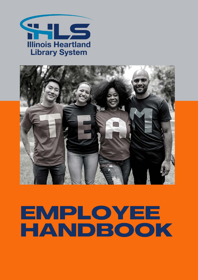



# EMPLOYEE HANDBOOK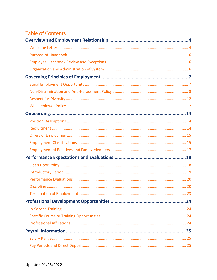# **Table of Contents**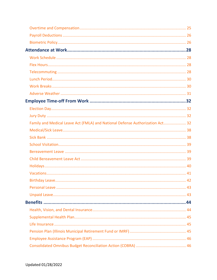| Family and Medical Leave Act (FMLA) and National Defense Authorization Act 32 |  |
|-------------------------------------------------------------------------------|--|
|                                                                               |  |
|                                                                               |  |
|                                                                               |  |
|                                                                               |  |
|                                                                               |  |
|                                                                               |  |
|                                                                               |  |
|                                                                               |  |
|                                                                               |  |
|                                                                               |  |
|                                                                               |  |
|                                                                               |  |
|                                                                               |  |
|                                                                               |  |
|                                                                               |  |
|                                                                               |  |
|                                                                               |  |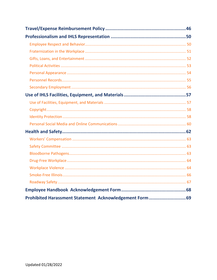| Prohibited Harassment Statement Acknowledgement Form69 |  |
|--------------------------------------------------------|--|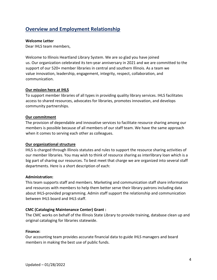# <span id="page-4-0"></span>**Overview and Employment Relationship**

## <span id="page-4-1"></span>**Welcome Letter**

Dear IHLS team members,

Welcome to Illinois Heartland Library System. We are so glad you have joined us. Our organization celebrated its ten-year anniversary in 2021 and we are committed to the support of our 520+ member libraries in central and southern Illinois. As a team we value innovation, leadership, engagement, integrity, respect, collaboration, and communication.

# **Our mission here at IHLS**

To support member libraries of all types in providing quality library services. IHLS facilitates access to shared resources, advocates for libraries, promotes innovation, and develops community partnerships.

# **Our commitment**

The provision of dependable and innovative services to facilitate resource sharing among our members is possible because of all members of our staff team. We have the same approach when it comes to serving each other as colleagues.

# **Our organizational structure**

IHLS is charged through Illinois statutes and rules to support the resource sharing activities of our member libraries. You may wish to think of resource sharing as interlibrary loan which is a big part of sharing our resources. To best meet that charge we are organized into several staff departments. Here is a short description of each:

# **Administration:**

This team supports staff and members. Marketing and communication staff share information and resources with members to help them better serve their library patrons including data about IHLS-provided programming. Admin staff support the relationship and communication between IHLS board and IHLS staff.

# **CMC (Cataloging Maintenance Center) Grant :**

The CMC works on behalf of the Illinois State Library to provide training, database clean up and original cataloging for libraries statewide.

# **Finance:**

Our accounting team provides accurate financial data to guide IHLS managers and board members in making the best use of public funds.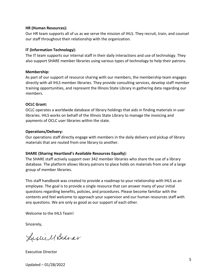## **HR (Human Resources):**

Our HR team supports all of us as we serve the mission of IHLS. They recruit, train, and counsel our staff throughout their relationship with the organization.

# **IT (Information Technology):**

The IT team supports our internal staff in their daily interactions and use of technology. They also support SHARE member libraries using various types of technology to help their patrons.

## **Membership:**

As part of our support of resource sharing with our members, the membership team engages directly with all IHLS member libraries. They provide consulting services, develop staff member training opportunities, and represent the Illinois State Library in gathering data regarding our members.

# **OCLC Grant:**

OCLC operates a worldwide database of library holdings that aids in finding materials in user libraries. IHLS works on behalf of the Illinois State Library to manage the invoicing and payments of OCLC user libraries within the state.

# **Operations/Delivery:**

Our operations staff directly engage with members in the daily delivery and pickup of library materials that are routed from one library to another.

# **SHARE (Sharing Heartland's Available Resources Equally):**

The SHARE staff actively support over 342 member libraries who share the use of a library database. The platform allows library patrons to place holds on materials from one of a large group of member libraries.

This staff handbook was created to provide a roadmap to your relationship with IHLS as an employee. The goal is to provide a single resource that can answer many of your initial questions regarding benefits, policies, and procedures. Please become familiar with the contents and feel welcome to approach your supervisor and our human resources staff with any questions. We are only as good as our support of each other.

Welcome to the IHLS Team!

Sincerely,

Executive Director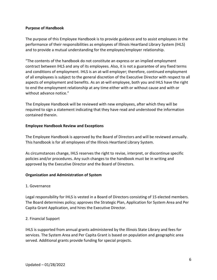# <span id="page-6-0"></span>**Purpose of Handbook**

The purpose of this Employee Handbook is to provide guidance and to assist employees in the performance of their responsibilities as employees of Illinois Heartland Library System (IHLS) and to provide a mutual understanding for the employee/employer relationship.

"The contents of the handbook do not constitute an express or an implied employment contract between IHLS and any of its employees. Also, it is not a guarantee of any fixed terms and conditions of employment. IHLS is an at-will employer; therefore, continued employment of all employees is subject to the general discretion of the Executive Director with respect to all aspects of employment and benefits. As an at-will employee, both you and IHLS have the right to end the employment relationship at any time either with or without cause and with or without advance notice."

The Employee Handbook will be reviewed with new employees, after which they will be required to sign a statement indicating that they have read and understood the information contained therein.

## <span id="page-6-1"></span>**Employee Handbook Review and Exceptions**

The Employee Handbook is approved by the Board of Directors and will be reviewed annually. This handbook is for all employees of the Illinois Heartland Library System.

As circumstances change, IHLS reserves the right to revise, interpret, or discontinue specific policies and/or procedures. Any such changes to the handbook must be in writing and approved by the Executive Director and the Board of Directors.

# <span id="page-6-2"></span>**Organization and Administration of System**

# 1. Governance

Legal responsibility for IHLS is vested in a Board of Directors consisting of 15 elected members. The Board determines policy; approves the Strategic Plan, Application for System Area and Per Capita Grant Application, and hires the Executive Director.

# 2. Financial Support

IHLS is supported from annual grants administered by the Illinois State Library and fees for services. The System Area and Per Capita Grant is based on population and geographic area served. Additional grants provide funding for special projects.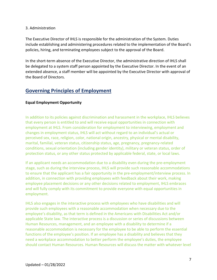## 3. Administration

The Executive Director of IHLS is responsible for the administration of the System. Duties include establishing and administering procedures related to the implementation of the Board's policies, hiring, and terminating employees subject to the approval of the Board.

In the short-term absence of the Executive Director, the administrative direction of IHLS shall be delegated to a system staff person appointed by the Executive Director. In the event of an extended absence, a staff member will be appointed by the Executive Director with approval of the Board of Directors.

# <span id="page-7-0"></span>**Governing Principles of Employment**

# <span id="page-7-1"></span>**Equal Employment Opportunity**

In addition to its policies against discrimination and harassment in the workplace, IHLS believes that every person is entitled to and will receive equal opportunities in connection with employment at IHLS. From consideration for employment to interviewing, employment and changes in employment status, IHLS will act without regard to an individual's actual or perceived sex, race, religion, color, national origin, ancestry, physical or mental disability, marital, familial, veteran status, citizenship status, age, pregnancy, pregnancy-related conditions, sexual orientation (including gender identity), military or veteran status, order of protection status, or any other status protected by applicable federal, state, or local laws.

If an applicant needs an accommodation due to a disability even during the pre-employment stage, such as during the interview process, IHLS will provide such reasonable accommodations to ensure that the applicant has a fair opportunity in the pre-employment/interview process. In addition, in connection with providing employees with feedback about their work, making employee placement decisions or any other decisions related to employment, IHLS embraces and will fully comply with its commitment to provide everyone with equal opportunities in employment.

IHLS also engages in the interactive process with employees who have disabilities and will provide such employees with a reasonable accommodation when necessary due to the employee's disability, as that term is defined in the Americans with Disabilities Act and/or applicable State law. The interactive process is a discussion or series of discussions between Human Resources, management, and an employee with a disability to determine if a reasonable accommodation is necessary for the employee to be able to perform the essential functions of the employee's position. If an employee has a disability and believes that they need a workplace accommodation to better perform the employee's duties, the employee should contact Human Resources. Human Resources will discuss the matter with whatever level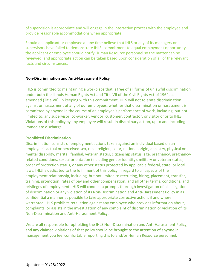of supervision is appropriate and will engage in the interactive process with the employee and provide reasonable accommodations when appropriate.

Should an applicant or employee at any time believe that IHLS or any of its managers or supervisors have failed to demonstrate IHLS' commitment to equal employment opportunity, the applicant or employee should notify Human Resource personnel so the matter can be reviewed, and appropriate action can be taken based upon consideration of all of the relevant facts and circumstances.

#### <span id="page-8-0"></span>**Non-Discrimination and Anti-Harassment Policy**

IHLS is committed to maintaining a workplace that is free of all forms of unlawful discrimination under both the Illinois Human Rights Act and Title VII of the Civil Rights Act of 1964, as amended (Title VII). In keeping with this commitment, IHLS will not tolerate discrimination against or harassment of any of our employees, whether that discrimination or harassment is committed by anyone in the course of an employee's performance of work, including, but not limited to, any supervisor, co-worker, vendor, customer, contractor, or visitor of or to IHLS. Violations of this policy by any employee will result in disciplinary action, up to and including immediate discharge.

#### **Prohibited Discrimination**

Discrimination consists of employment actions taken against an individual based on an employee's actual or perceived sex, race, religion, color, national origin, ancestry, physical or mental disability, marital, familial, veteran status, citizenship status, age, pregnancy, pregnancyrelated conditions, sexual orientation (including gender identity), military or veteran status, order of protection status, or any other status protected by applicable federal, state, or local laws. IHLS is dedicated to the fulfillment of this policy in regard to all aspects of the employment relationship, including, but not limited to recruiting, hiring, placement, transfer, training, promotion, rates of pay and other compensation, and all other terms, conditions, and privileges of employment. IHLS will conduct a prompt, thorough investigation of all allegations of discrimination or any violation of its Non-Discrimination and Anti-Harassment Policy in as confidential a manner as possible to take appropriate corrective action, if and where warranted. IHLS prohibits retaliation against any employee who provides information about, complaints, or assists in the investigation of any complaint of discrimination or violation of its Non-Discrimination and Anti-Harassment Policy.

We are all responsible for upholding the IHLS Non-Discrimination and Anti-Harassment Policy, and any claimed violations of that policy should be brought to the attention of anyone in management you feel comfortable reporting this to and/or Human Resource personnel.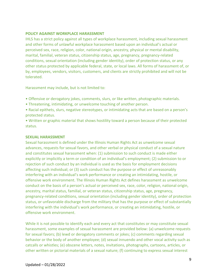# **POLICY AGAINST WORKPLACE HARASSMENT**

IHLS has a strict policy against all types of workplace harassment, including sexual harassment and other forms of unlawful workplace harassment based upon an individual's actual or perceived sex, race, religion, color, national origin, ancestry, physical or mental disability, marital, familial, veteran status, citizenship status, age, pregnancy, pregnancy-related conditions, sexual orientation (including gender identity), order of protection status, or any other status protected by applicable federal, state, or local laws. All forms of harassment of, or by, employees, vendors, visitors, customers, and clients are strictly prohibited and will not be tolerated.

Harassment may include, but is not limited to:

- Offensive or derogatory jokes, comments, slurs, or like written, photographic materials.
- Threatening, intimidating, or unwelcome touching of another person.
- Racial epithets, slurs, negative stereotypes, or intimidating acts that are based on a person's protected status.
- Written or graphic material that shows hostility toward a person because of their protected status.

## **SEXUAL HARASSMENT**

Sexual harassment is defined under the Illinois Human Rights Act as unwelcome sexual advances, requests for sexual favors, and other verbal or physical conduct of a sexual nature and constitutes sexual harassment when: (1) submission to such conduct is made either explicitly or implicitly a term or condition of an individual's employment; (2) submission to or rejection of such conduct by an individual is used as the basis for employment decisions affecting such individual; or (3) such conduct has the purpose or effect of unreasonably interfering with an individual's work performance or creating an intimidating, hostile, or offensive work environment. The Illinois Human Rights Act defines harassment as unwelcome conduct on the basis of a person's actual or perceived sex, race, color, religion, national origin, ancestry, marital status, familial, or veteran status, citizenship status, age, pregnancy, pregnancy-related conditions, sexual orientation (including gender identity), order of protection status, or unfavorable discharge from the military that has the purpose or effect of substantially interfering with the individual's work performance, or creating an intimidating, hostile, or offensive work environment.

While it is not possible to identify each and every act that constitutes or may constitute sexual harassment, some examples of sexual harassment are provided below: (a) unwelcome requests for sexual favors; (b) lewd or derogatory comments or jokes; (c) comments regarding sexual behavior or the body of another employee; (d) sexual innuendo and other vocal activity such as catcalls or whistles; (e) obscene letters, notes, invitations, photographs, cartoons, articles, or other written or pictorial materials of a sexual nature; (f) continuing to express sexual interest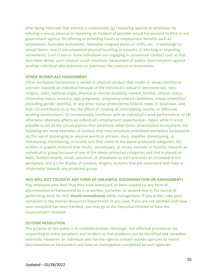after being informed that interest is unwelcome; (g) retaliating against an employee for refusing a sexual advance or reporting an incident of possible sexual harassment to IHLS or any government agency; (h) offering or providing favors or employment benefits such as promotions, favorable evaluations, favorable assigned duties or shifts, etc., in exchange for sexual favors; and (i) any unwanted physical touching or assaults, or blocking or impeding movements. Even if two or more individuals are engaging in consensual conduct such as that described above, such conduct could constitute harassment of and/or discrimination against another individual who witnesses or overhears the conduct or statements.

#### **OTHER WORKPLACE HARASSMENT**

Other workplace harassment is verbal or physical conduct that insults or shows hostility or aversion towards an individual because of the individual's actual or perceived sex, race, religion, color, national origin, physical or mental disability, marital, familial, veteran status, citizenship status, ancestry, age, pregnancy, pregnancy-related conditions, sexual orientation (including gender identity), or any other status protected by federal, state, or local laws, and that: (1) contributes to or has the effect of creating an intimidating, hostile, or offensive working environment; (2) unreasonably interferes with an individual's work performance; or (3) otherwise adversely affects an individual's employment opportunities. Again, while it is not possible to list all the circumstances that constitute other forms of workplace harassment, the following are some examples of conduct that may constitute prohibited workplace harassment: (a) the use of disparaging or abusive words or phrases, slurs, negative stereotyping, or threatening, intimidating, or hostile acts that relate to the above protected categories; (b) written or graphic material that insults, stereotypes, or shows aversion or hostility towards an individual or group because of one of the above protected categories and that is placed on walls, bulletin boards, email, voicemail, or elsewhere on IHLS premises or circulated in the workplace; and (c) the display of symbols, slogans, or items that are associated with hate or intolerance towards any protected group.

## **IHLS WILL NOT TOLERATE ANY FORM OF UNLAWFUL DISCRIMINATION OR HARASSMENT!**

Any employee who feels that they have witnessed, or been subject to, any form of discrimination or harassment by a co-worker, customer, or anyone else in the course of performing work for IHLS **should immediately** notify management. If you prefer, take your complaint to the Human Resources Department. In any case, if you are not satisfied with how your complaint has been handled, you may go to the Executive Director to have the issue/concern resolved.

## **OUTSIDE RESOLUTION**

The purpose of this policy is to establish prompt, thorough, and effective procedures for responding to every complaint and incident so that problems can be identified and remedied internally. However, an individual also has the right to contact outside agencies to report discrimination or harassment and have an investigation completed by such agencies.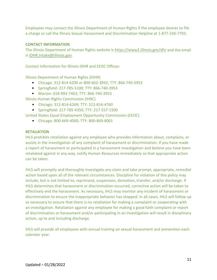Employees may contact the Illinois Department of Human Rights if the employee desires to file a charge or call the Illinois Sexual Harassment and Discrimination Helpline at 1-877-236-7703.

# **CONTACT INFORMATION**

The Illinois Department of Human Rights website is<https://www2.illinois.gov/dhr> and the email is [IDHR.Intake@illinois.gov.](mailto:IDHR.Intake@illinois.gov)

Contact Information for Illinois IDHR and EEOC Offices:

Illinois Department of Human Rights (IDHR)

- Chicago: 312-814-6200 or 800-662-3942; TTY: 866-740-3953
- Springfield: 217-785-5100; TTY: 866-740-3953
- Marion: 618-993-7463; TTY: 866-740-3953

Illinois Human Rights Commission (IHRC)

- Chicago: 312-814-6269; TTY: 312-814-4760
- Springfield: 217-785-4350; TTY: 217-557-1500

United States Equal Employment Opportunity Commission (EEOC)

• Chicago: 800-669-4000; TTY: 800-869-8001

## **RETALIATION**

IHLS prohibits retaliation against any employee who provides information about, complains, or assists in the investigation of any complaint of harassment or discrimination. If you have made a report of harassment or participated in a harassment investigation and believe you have been retaliated against in any way, notify Human Resources immediately so that appropriate action can be taken.

IHLS will promptly and thoroughly investigate any claim and take prompt, appropriate, remedial action based upon all of the relevant circumstances. Discipline for violation of this policy may include, but is not limited to, reprimand, suspension, demotion, transfer, and/or discharge. If IHLS determines that harassment or discrimination occurred, corrective action will be taken to effectively end the harassment. As necessary, IHLS may monitor any incident of harassment or discrimination to ensure the inappropriate behavior has stopped. In all cases, IHLS will follow up as necessary to ensure that there is no retaliation for making a complaint or cooperating with an investigation. Retaliation against any employee for making a good faith complaint or report of discrimination or harassment and/or participating in an investigation will result in disciplinary action, up to and including discharge.

IHLS will provide all employees with annual training on sexual harassment and prevention each calendar year.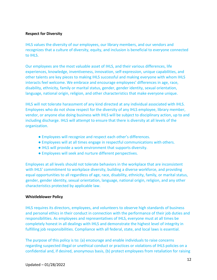## <span id="page-12-0"></span>**Respect for Diversity**

IHLS values the diversity of our employees, our library members, and our vendors and recognizes that a culture of diversity, equity, and inclusion is beneficial to everyone connected to IHLS.

Our employees are the most valuable asset of IHLS, and their various differences, life experiences, knowledge, inventiveness, innovation, self-expression, unique capabilities, and other talents are key pieces to making IHLS successful and making everyone with whom IHLS interacts feel welcome. We embrace and encourage employees' differences in age, race, disability, ethnicity, family or marital status, gender, gender identity, sexual orientation, language, national origin, religion, and other characteristics that make everyone unique.

IHLS will not tolerate harassment of any kind directed at any individual associated with IHLS. Employees who do not show respect for the diversity of any IHLS employee, library member, vendor, or anyone else doing business with IHLS will be subject to disciplinary action, up to and including discharge. IHLS will attempt to ensure that there is diversity at all levels of the organization.

- Employees will recognize and respect each other's differences.
- Employees will at all times engage in respectful communications with others.
- IHLS will provide a work environment that supports diversity.
- Employees will seek and nurture different perspectives.

Employees at all levels should not tolerate behaviors in the workplace that are inconsistent with IHLS' commitment to workplace diversity, building a diverse workforce, and providing equal opportunities to all regardless of age, race, disability, ethnicity, family, or marital status, gender, gender identity, sexual orientation, language, national origin, religion, and any other characteristics protected by applicable law.

# <span id="page-12-1"></span>**Whistleblower Policy**

IHLS requires its directors, employees, and volunteers to observe high standards of business and personal ethics in their conduct in connection with the performance of their job duties and responsibilities. As employees and representatives of IHLS, everyone must at all times be completely honest in all dealings with IHLS and demonstrate the highest level of integrity in fulfilling job responsibilities. Compliance with all federal, state, and local laws is essential.

The purpose of this policy is to: (a) encourage and enable individuals to raise concerns regarding suspected illegal or unethical conduct or practices or violations of IHLS policies on a confidential and, if desired, anonymous basis, (b) protect employees from retaliation for raising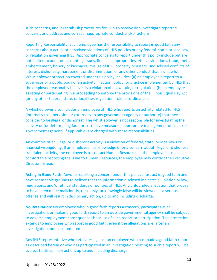such concerns, and (c) establish procedures for IHLS to receive and investigate reported concerns and address and correct inappropriate conduct and/or actions.

Reporting Responsibility: Each employee has the responsibility to report in good faith any concerns about actual or perceived violations of IHLS policies or any federal, state, or local law, or regulation governing IHLS. Appropriate concerns to report under this policy include but are not limited to audit or accounting issues, financial improprieties, ethical violations, fraud, theft, embezzlement, bribery or kickbacks, misuse of IHLS property or assets, undisclosed conflicts of interest, dishonesty, harassment or discrimination, or any other conduct that is unlawful. Whistleblower protection covered under this policy includes: (a) an employee's report to a supervisor or a public body of an activity, inaction, policy, or practice implemented by IHLS that the employee reasonably believes is a violation of a law, rule, or regulation, (b) an employee assisting or participating in a proceeding to enforce the provisions of the Illinois Equal Pay Act (or any other federal, state, or local law, regulation, rule, or ordinance).

A whistleblower also includes an employee of IHLS who reports an activity related to IHLS (internally to supervision or externally to any government agency or authority) that they consider to be illegal or dishonest. The whistleblower is not responsible for investigating the activity or for determining fault or corrective measures; appropriate management officials (or government agencies, if applicable) are charged with these responsibilities.

An example of an illegal or dishonest activity is a violation of federal, state, or local laws or financial wrongdoing. If an employee has knowledge of or a concern about illegal or dishonest fraudulent activity, the employee is to contact Human Resources. If the employee is not comfortable reporting the issue to Human Resources, the employee may contact the Executive Director instead.

**Acting in Good Faith:** Anyone reporting a concern under this policy must act in good faith and have reasonable grounds to believe that the information disclosed indicates a violation or law, regulations, and/or ethical standards or policies of IHLS. Any unfounded allegation that proves to have been made maliciously, recklessly, or knowingly false will be viewed as a serious offense and will result in disciplinary action, up to and including discharge.

**No Retaliation:** No employee who in good faith reports a concern, participates in an investigation, or makes a good faith report to an outside governmental agency shall be subject to adverse employment consequences because of such report or participation. This protection extends to employees who report in good faith, even if the allegations are, after an investigation, not substantiated.

Any IHLS representative who retaliates against an employee who has made a good faith report as described herein or who has participated in an investigation relating to such a report will be subject to disciplinary action, up to and including discharge.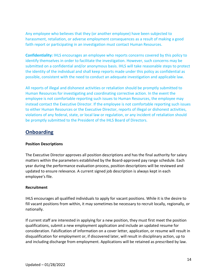Any employee who believes that they (or another employee) have been subjected to harassment, retaliation, or adverse employment consequences as a result of making a good faith report or participating in an investigation must contact Human Resources.

**Confidentiality:** IHLS encourages an employee who reports concerns covered by this policy to identify themselves in order to facilitate the investigation. However, such concerns may be submitted on a confidential and/or anonymous basis. IHLS will take reasonable steps to protect the identity of the individual and shall keep reports made under this policy as confidential as possible, consistent with the need to conduct an adequate investigation and applicable law.

All reports of illegal and dishonest activities or retaliation should be promptly submitted to Human Resources for investigating and coordinating corrective action. In the event the employee is not comfortable reporting such issues to Human Resources, the employee may instead contact the Executive Director. If the employee is not comfortable reporting such issues to either Human Resources or the Executive Director, reports of illegal or dishonest activities, violations of any federal, state, or local law or regulation, or any incident of retaliation should be promptly submitted to the President of the IHLS Board of Directors.

# <span id="page-14-0"></span>**Onboarding**

# <span id="page-14-1"></span>**Position Descriptions**

The Executive Director approves all position descriptions and has the final authority for salary matters within the parameters established by the Board-approved pay range schedule. Each year during the performance evaluation process, position descriptions will be reviewed and updated to ensure relevance. A current signed job description is always kept in each employee's file.

## <span id="page-14-2"></span>**Recruitment**

IHLS encourages all qualified individuals to apply for vacant positions. While it is the desire to fill vacant positions from within, it may sometimes be necessary to recruit locally, regionally, or nationally.

If current staff are interested in applying for a new position, they must first meet the position qualifications, submit a new employment application and include an updated resume for consideration. Falsification of information on a cover letter, application, or resume will result in disqualification for employment or, if discovered later, will result in disciplinary action, up to and including discharge from employment. Applications will be retained as prescribed by law.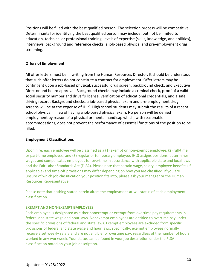Positions will be filled with the best qualified person. The selection process will be competitive. Determinants for identifying the best qualified person may include, but not be limited to: education, technical or professional training, levels of expertise (skills, knowledge, and abilities), interviews, background and reference checks, a job-based physical and pre-employment drug screening.

# <span id="page-15-0"></span>**Offers of Employment**

All offer letters must be in writing from the Human Resources Director. It should be understood that such offer letters do not constitute a contract for employment. Offer letters may be contingent upon a job-based physical, successful drug screen, background check, and Executive Director and board approval. Background checks may include a criminal check, proof of a valid social security number and driver's license, verification of educational credentials, and a safe driving record. Background checks, a job-based physical exam and pre-employment drug screens will be at the expense of IHLS. High school students may submit the results of a recent school physical in lieu of having a job-based physical exam. No person will be denied employment by reason of a physical or mental handicap which, with reasonable accommodations, does not prevent the performance of essential functions of the position to be filled.

## <span id="page-15-1"></span>**Employment Classifications**

Upon hire, each employee will be classified as a (1) exempt or non-exempt employee, (2) full-time or part-time employee, and (3) regular or temporary employee. IHLS assigns positions, determines wages and compensates employees for overtime in accordance with applicable state and local laws and the Fair Labor Standards Act (FLSA). Please note that certain wage, salary, employee benefits (if applicable) and time-off provisions may differ depending on how you are classified. If you are unsure of which job classification your position fits into, please ask your manager or the Human Resources Representative.

Please note that nothing stated herein alters the employment-at-will status of each employment classification.

## **EXEMPT AND NON-EXEMPT EMPLOYEES**

Each employee is designated as either nonexempt or exempt from overtime pay requirements in federal and state wage and hour laws. Nonexempt employees are entitled to overtime pay under the specific provisions of federal and state laws. Exempt employees are excluded from specific provisions of federal and state wage and hour laws; specifically, exempt employees normally receive a set weekly salary and are not eligible for overtime pay, regardless of the number of hours worked in any workweek. Your status can be found in your job description under the FLSA classification noted on your job description.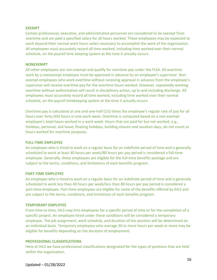#### **EXEMPT**

Certain professional, executive, and administrative personnel are considered to be exempt from overtime and are paid a specified salary for all hours worked. These employees may be expected to work beyond their normal work hours when necessary to accomplish the work of the organization. All employees must accurately record all time worked, including time worked over their normal schedule, on the payroll time keeping system at the time it actually occurs.

#### **NONEXEMPT**

All other employees are non-exempt and qualify for overtime pay under the FLSA. All overtime work by a nonexempt employee must be approved in advance by an employee's supervisor. Nonexempt employees who work overtime without receiving approval in advance from the employee's supervisor will receive overtime pay for the overtime hours worked. However, repeatedly working overtime without authorization will result in disciplinary action, up to and including discharge. All employees must accurately record all time worked, including time worked over their normal schedule, on the payroll timekeeping system at the time it actually occurs.

Overtime pay is calculated at one and one-half (1½) times the employee's regular rate of pay for all hours over forty (40) hours in one work week. Overtime is computed based on a non-exempt employee's total hours worked in a work week. Hours that are paid for but not worked, *e.g.*, holidays, personal, sick leave, floating holidays, building closure and vacation days, do not count as hours worked for overtime purposes.

#### **FULL-TIME EMPLOYEE**

An employee who is hired to work on a regular basis for an indefinite period of time and is generally scheduled to work at least 40 hours per week/80 hours per pay period is considered a full-time employee. Generally, these employees are eligible for the full-time benefits package and are subject to the terms, conditions, and limitations of each benefits program.

#### **PART-TIME EMPLOYEE**

An employee who is hired to work on a regular basis for an indefinite period of time and is generally scheduled to work less than 40 hours per week/less than 80 hours per pay period is considered a part-time employee. Part-time employees are eligible for some of the benefits offered by IHLS and are subject to the terms, conditions, and limitations of each benefits program.

#### **TEMPORARY EMPLOYEE**

From time to time, IHLS may hire employees for a specific period of time or for the completion of a specific project. An employee hired under these conditions will be considered a temporary employee. The job assignment, work schedule, and duration of the position will be determined on an individual basis. Temporary employees who average 30 or more hours per week or more may be eligible for benefits depending on the duration of employment.

#### **PROFESSIONAL CLASSIFICATIONS**

Here at IHLS we have professional classifications designated for the types of positions that are held within the organization.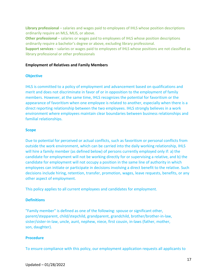**Library professional** – salaries and wages paid to employees of IHLS whose position descriptions ordinarily require an MLS, MLIS, or above.

**Other professional** – salaries or wages paid to employees of IHLS whose position descriptions ordinarily require a bachelor's degree or above, excluding library professional.

**Support services** – salaries or wages paid to employees of IHLS whose positions are not classified as library professional or other professionals

#### <span id="page-17-0"></span>**Employment of Relatives and Family Members**

#### **Objective**

IHLS is committed to a policy of employment and advancement based on qualifications and merit and does not discriminate in favor of or in opposition to the employment of family members. However, at the same time, IHLS recognizes the potential for favoritism or the appearance of favoritism when one employee is related to another, especially when there is a direct reporting relationship between the two employees. IHLS strongly believes in a work environment where employees maintain clear boundaries between business relationships and familial relationships.

#### **Scope**

Due to potential for perceived or actual conflicts, such as favoritism or personal conflicts from outside the work environment, which can be carried into the daily working relationship, IHLS will hire a family member (as defined below) of persons currently employed only if: a) the candidate for employment will not be working directly for or supervising a relative, and b) the candidate for employment will not occupy a position in the same line of authority in which employees can initiate or participate in decisions involving a direct benefit to the relative. Such decisions include hiring, retention, transfer, promotion, wages, leave requests, benefits, or any other aspect of employment.

This policy applies to all current employees and candidates for employment.

## **Definitions**

"Family member" is defined as one of the following: spouse or significant other, parent/stepparent, child/stepchild, grandparent, grandchild, brother/brother-in-law, sister/sister-in-law, uncle, aunt, nephew, niece, first cousin, in-laws (father, mother, son, daughter).

## **Procedure**

To ensure compliance with this policy, our employment application requests all applicants to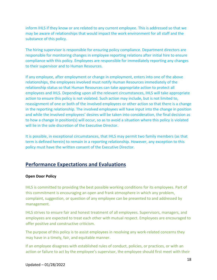inform IHLS if they know or are related to any current employee. This is addressed so that we may be aware of relationships that would impact the work environment for all staff and the substance of this policy.

The hiring supervisor is responsible for ensuring policy compliance. Department directors are responsible for monitoring changes in employee reporting relations after initial hire to ensure compliance with this policy. Employees are responsible for immediately reporting any changes to their supervisor and to Human Resources.

If any employee, after employment or change in employment, enters into one of the above relationships, the employees involved must notify Human Resources immediately of the relationship status so that Human Resources can take appropriate action to protect all employees and IHLS. Depending upon all the relevant circumstances, IHLS will take appropriate action to ensure this policy is not violated. Such action may include, but is not limited to, reassignment of one or both of the involved employees or other action so that there is a change in the reporting relationship. The involved employees will have input into the change in position and while the involved employees' desires will be taken into consideration, the final decision as to how a change in position(s) will occur, so as to avoid a situation where this policy is violated will lie in the sole discretion of the Executive Director.

It is possible, in exceptional circumstances, that IHLS may permit two family members (as that term is defined herein) to remain in a reporting relationship. However, any exception to this policy must have the written consent of the Executive Director.

# <span id="page-18-0"></span>**Performance Expectations and Evaluations**

# <span id="page-18-1"></span>**Open Door Policy**

IHLS is committed to providing the best possible working conditions for its employees. Part of this commitment is encouraging an open and frank atmosphere in which any problem, complaint, suggestion, or question of any employee can be presented to and addressed by management.

IHLS strives to ensure fair and honest treatment of all employees. Supervisors, managers, and employees are expected to treat each other with mutual respect. Employees are encouraged to offer positive and constructive criticism.

The purpose of this policy is to assist employees in resolving any work-related concerns they may have in a timely, fair, and equitable manner.

If an employee disagrees with established rules of conduct, policies, or practices, or with an action or failure to act by the employee's supervisor, the employee should first meet with their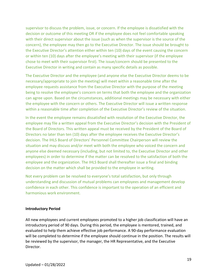supervisor to discuss the problem, issue, or concern. If the employee is dissatisfied with the decision or outcome of this meeting OR if the employee does not feel comfortable speaking with their direct supervisor about the issue (such as when the supervisor is the source of the concern), the employee may then go to the Executive Director. The issue should be brought to the Executive Director's attention either within ten (10) days of the event causing the concern or within ten (10) days after the employee's meeting with their supervisor (if the employee chose to meet with their supervisor first). The issue/concern should be presented to the Executive Director in writing and contain as many specific details as possible.

The Executive Director and the employee (and anyone else the Executive Director deems to be necessary/appropriate to join the meeting) will meet within a reasonable time after the employee requests assistance from the Executive Director with the purpose of the meeting being to resolve the employee's concern on terms that both the employee and the organization can agree upon. Based on the circumstances, additional meetings may be necessary with either the employee with the concern or others. The Executive Director will issue a written response within a reasonable time after completion of the Executive Director's review of the situation.

In the event the employee remains dissatisfied with resolution of the Executive Director, the employee may file a written appeal from the Executive Director's decision with the President of the Board of Directors. This written appeal must be received by the President of the Board of Directors no later than ten (10) days after the employee receives the Executive Director's decision. The IHLS Board of Directors' Personnel Committee Chairperson will review the situation and may discuss and/or meet with both the employee who voiced the concern and anyone else deemed necessary (including, but not limited to, the Executive Director and other employees) in order to determine if the matter can be resolved to the satisfaction of both the employee and the organization. The IHLS Board shall thereafter issue a final and binding decision on the matter which shall be provided to the employee in writing.

Not every problem can be resolved to everyone's total satisfaction, but only through understanding and discussion of mutual problems can employees and management develop confidence in each other. This confidence is important to the operation of an efficient and harmonious work environment.

## <span id="page-19-0"></span>**Introductory Period**

All new employees and current employees promoted to a higher job classification will have an introductory period of 90 days. During this period, the employee is mentored, trained, and evaluated to help them achieve effective job performance. A 90-day performance evaluation will be completed to determine if the employee should continue in the position. The results will be reviewed by the supervisor, the manager, the HR Representative, and the Executive Director.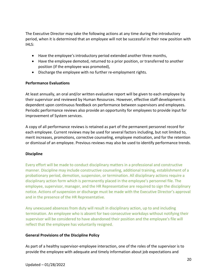The Executive Director may take the following actions at any time during the introductory period, when it is determined that an employee will not be successful in their new position with IHLS:

- Have the employee's introductory period extended another three months,
- Have the employee demoted, returned to a prior position, or transferred to another position (if the employee was promoted),
- Discharge the employee with no further re-employment rights.

# <span id="page-20-0"></span>**Performance Evaluations**

At least annually, an oral and/or written evaluative report will be given to each employee by their supervisor and reviewed by Human Resources. However, effective staff development is dependent upon continuous feedback on performance between supervisors and employees. Periodic performance reviews also provide an opportunity for employees to provide input for improvement of System services.

A copy of all performance reviews is retained as part of the permanent personnel record for each employee. Current reviews may be used for several factors including, but not limited to, merit increases, promotions, corrective counseling, employee motivation, and for the retention or dismissal of an employee. Previous reviews may also be used to identify performance trends.

# <span id="page-20-1"></span>**Discipline**

Every effort will be made to conduct disciplinary matters in a professional and constructive manner. Discipline may include constructive counseling, additional training, establishment of a probationary period, demotion, suspension, or termination. All disciplinary actions require a disciplinary action form which is permanently placed in the employee's personnel file. The employee, supervisor, manager, and the HR Representative are required to sign the disciplinary notice. Actions of suspension or discharge must be made with the Executive Director's approval and in the presence of the HR Representative.

Any unexcused absences from duty will result in disciplinary action, up to and including termination. An employee who is absent for two consecutive workdays without notifying their supervisor will be considered to have abandoned their position and the employee's file will reflect that the employee has voluntarily resigned.

# **General Provisions of the Discipline Policy**

As part of a healthy supervisor-employee interaction, one of the roles of the supervisor is to provide the employee with adequate and timely information about job expectations and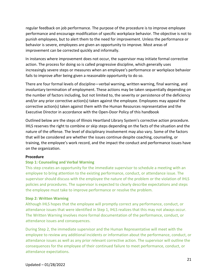regular feedback on job performance. The purpose of the procedure is to improve employee performance and encourage modification of specific workplace behavior. The objective is not to punish employees, but to alert them to the need for improvement. Unless the performance or behavior is severe, employees are given an opportunity to improve. Most areas of improvement can be corrected quickly and informally.

In instances where improvement does not occur, the supervisor may initiate formal corrective action. The process for doing so is called progressive discipline, which generally uses increasingly severe steps or measures when an employee's performance or workplace behavior fails to improve after being given a reasonable opportunity to do so.

There are four formal levels of discipline—verbal warning, written warning, final warning, and involuntary termination of employment. These actions may be taken sequentially depending on the number of factors including, but not limited to, the severity or persistence of the deficiency and/or any prior corrective action(s) taken against the employee. Employees may appeal the corrective action(s) taken against them with the Human Resources representative and the Executive Director in accordance with the Open-Door Policy of this handbook

Outlined below are the steps of Illinois Heartland Library System's corrective action procedure. IHLS reserves the right to combine or skip steps depending on the facts of the situation and the nature of the offense. The level of disciplinary involvement may also vary. Some of the factors that will be considered are whether the issues continue despite coaching, counseling, or training, the employee's work record, and the impact the conduct and performance issues have on the organization.

## **Procedure**

# **Step 1: Counseling and Verbal Warning**

This step creates an opportunity for the immediate supervisor to schedule a meeting with an employee to bring attention to the existing performance, conduct, or attendance issue. The supervisor should discuss with the employee the nature of the problem or the violation of IHLS policies and procedures. The supervisor is expected to clearly describe expectations and steps the employee must take to improve performance or resolve the problem.

## **Step 2: Written Warning**

Although IHLS hopes that the employee will promptly correct any performance, conduct, or attendance issues that were identified in Step 1, IHLS realizes that this may not always occur. The Written Warning involves more formal documentation of the performance, conduct, or attendance issues and consequences.

During Step 2, the immediate supervisor and the Human Representative will meet with the employee to review any additional incidents or information about the performance, conduct, or attendance issues as well as any prior relevant corrective action. The supervisor will outline the consequences for the employee of their continued failure to meet performance, conduct, or attendance expectations.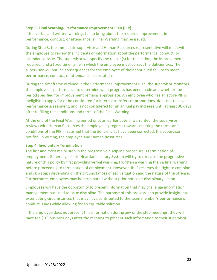# **Step 3: Final Warning- Performance Improvement Plan (PIP)**

If the verbal and written warnings fail to bring about the required improvement in performance, conduct, or attendance, a Final Warning may be issued.

During Step 3, the immediate supervisor and Human Resources representative will meet with the employee to review the incidents or information about the performance, conduct, or attendance issue. The supervisor will specify the reason(s) for the action, the improvements required, and a fixed timeframe in which the employee must correct the deficiencies. The supervisor will outline consequences for the employee of their continued failure to meet performance, conduct, or attendance expectations.

During the timeframe outlined in the Performance Improvement Plan, the supervisor monitors the employee's performance to determine what progress has been made and whether the period specified for improvement remains appropriate. An employee who has an active PIP is ineligible to apply for or be considered for internal transfers or promotions, does not receive a performance assessment, and is not considered for an annual pay increase until at least 30 days after fulfilling the conditions and terms of the Final Warning.

At the end of the Final Warning period or at an earlier date, if warranted, the supervisor reviews with Human Resources the employee's progress towards meeting the terms and conditions of the PIP. If satisfied that the deficiencies have been corrected, the supervisor notifies, in writing, the employee and Human Resources.

## **Step 4: Involuntary Termination**

The last and most major step in the progressive discipline procedure is termination of employment. Generally, Illinois Heartland Library System will try to exercise the progressive nature of this policy by first providing verbal warning, f written a warning then a final warning before proceeding to termination of employment. However, IHLS reserves the right to combine and skip steps depending on the circumstances of each situation and the nature of the offense. Furthermore, employees may be terminated without prior notice or disciplinary action.

Employees will have the opportunity to present information that may challenge information management has used to issue discipline. The purpose of this process is to provide insight into extenuating circumstances that may have contributed to the team member's performance or conduct issues while allowing for an equitable solution.

If the employee does not present this information during any of the step meetings, they will have ten (10) business days after the meeting to present such information to their supervisor.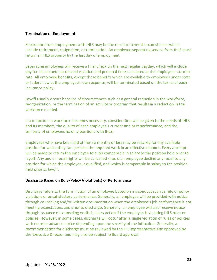# <span id="page-23-0"></span>**Termination of Employment**

Separation from employment with IHLS may be the result of several circumstances which include retirement, resignation, or termination. An employee separating service from IHLS must return all IHLS property by the last day of employment.

Separating employees will receive a final check on the next regular payday, which will include pay for all accrued but unused vacation and personal time calculated at the employees' current rate. All employee benefits, except those benefits which are available to employees under state or federal law at the employee's own expense, will be terminated based on the terms of each insurance policy.

Layoff usually occurs because of circumstances such as a general reduction in the workforce, reorganization, or the termination of an activity or program that results in a reduction in the workforce needed.

If a reduction in workforce becomes necessary, consideration will be given to the needs of IHLS and its members, the quality of each employee's current and past performance, and the seniority of employees holding positions with IHLS.

Employees who have been laid off for six months or less may be recalled for any available position for which they can perform the required work in an effective manner. Every attempt will be made to return the employee to a job comparable in salary to the position held prior to layoff. Any and all recall rights will be cancelled should an employee decline any recall to any position for which the employee is qualified, and which is comparable in salary to the position held prior to layoff.

## **Discharge Based on Rule/Policy Violation(s) or Performance**

Discharge refers to the termination of an employee based on misconduct such as rule or policy violations or unsatisfactory performance. Generally, an employee will be provided with notice through counseling and/or written documentation when the employee's job performance is not meeting expectations and prior to discharge. Generally, an employee will also receive notice through issuance of counseling or disciplinary action if the employee is violating IHLS rules or policies. However, in some cases, discharge will occur after a single violation of rules or policies with no prior advance notice depending upon the severity of the infraction. Generally, a recommendation for discharge must be reviewed by the HR Representative and approved by the Executive Director and may also be subject to Board approval.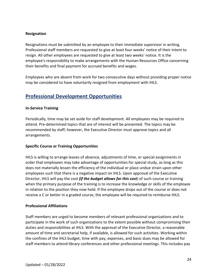# **Resignation**

Resignations must be submitted by an employee to their immediate supervisor in writing. Professional staff members are requested to give at least four weeks' notice of their intent to resign. All other employees are requested to give at least two weeks' notice. It is the employee's responsibility to make arrangements with the Human Resources Office concerning their benefits and final payment for accrued benefits and wages.

Employees who are absent from work for two consecutive days without providing proper notice may be considered to have voluntarily resigned from employment with IHLS.

# <span id="page-24-0"></span>**Professional Development Opportunities**

## <span id="page-24-1"></span>**In-Service Training**

Periodically, time may be set aside for staff development. All employees may be required to attend. Pre-determined topics that are of interest will be presented. The topics may be recommended by staff; however, the Executive Director must approve topics and all arrangements.

## <span id="page-24-2"></span>**Specific Course or Training Opportunities**

IHLS is willing to arrange leaves of absence, adjustments of time, or special assignments in order that employees may take advantage of opportunities for special study, as long as this does not materially lessen the efficiency of the individual or place undue strain upon other employees such that there is a negative impact on IHLS. Upon approval of the Executive Director, IHLS will pay the cost *(if the budget allows for this cost)* of such course or training when the primary purpose of the training is to increase the knowledge or skills of the employee in relation to the position they now hold. If the employee drops out of the course or does not receive a C or better in a graded course, the employee will be required to reimburse IHLS.

## <span id="page-24-3"></span>**Professional Affiliations**

Staff members are urged to become members of relevant professional organizations and to participate in the work of such organizations to the extent possible without compromising their duties and responsibilities at IHLS. With the approval of the Executive Director, a reasonable amount of time and secretarial help, if available, is allowed for such activities. Working within the confines of the IHLS budget, time with pay, expenses, and basic dues may be allowed for staff members to attend library conferences and other professional meetings. This includes pay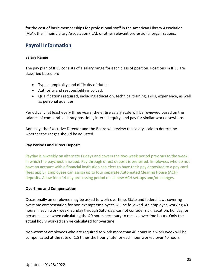for the cost of basic memberships for professional staff in the American Library Association (ALA), the Illinois Library Association (ILA), or other relevant professional organizations.

# <span id="page-25-0"></span>**Payroll Information**

# <span id="page-25-1"></span>**Salary Range**

The pay plan of IHLS consists of a salary range for each class of position. Positions in IHLS are classified based on:

- Type, complexity, and difficulty of duties.
- Authority and responsibility involved.
- Qualifications required, including education, technical training, skills, experience, as well as personal qualities.

Periodically (at least every three years) the entire salary scale will be reviewed based on the salaries of comparable library positions, internal equity, and pay for similar work elsewhere.

Annually, the Executive Director and the Board will review the salary scale to determine whether the ranges should be adjusted.

# <span id="page-25-2"></span>**Pay Periods and Direct Deposit**

Payday is biweekly on alternate Fridays and covers the two-week period previous to the week in which the paycheck is issued. Pay through direct deposit is preferred. Employees who do not have an account with a financial institution can elect to have their pay deposited to a pay card (fees apply). Employees can assign up to four separate Automated Clearing House (ACH) deposits. Allow for a 14-day processing period on all new ACH set-ups and/or changes.

# <span id="page-25-3"></span>**Overtime and Compensation**

Occasionally an employee may be asked to work overtime. State and federal laws covering overtime compensation for non-exempt employees will be followed. An employee working 40 hours in each work week, Sunday through Saturday, cannot consider sick, vacation, holiday, or personal leave when calculating the 40 hours necessary to receive overtime hours. Only the actual hours worked can be calculated for overtime.

Non-exempt employees who are required to work more than 40 hours in a work week will be compensated at the rate of 1.5 times the hourly rate for each hour worked over 40 hours.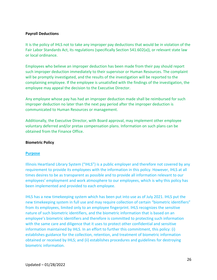## <span id="page-26-0"></span>**Payroll Deductions**

It is the policy of IHLS not to take any improper pay deductions that would be in violation of the Fair Labor Standards Act, its regulations (specifically Section 541.602(a)), or relevant state law or local ordinance.

Employees who believe an improper deduction has been made from their pay should report such improper deduction immediately to their supervisor or Human Resources. The complaint will be promptly investigated, and the results of the investigation will be reported to the complaining employee. If the employee is unsatisfied with the findings of the investigation, the employee may appeal the decision to the Executive Director.

Any employee whose pay has had an improper deduction made shall be reimbursed for such improper deduction no later than the next pay period after the improper deduction is communicated to Human Resources or management.

Additionally, the Executive Director, with Board approval, may implement other employee voluntary deferred and/or pretax compensation plans. Information on such plans can be obtained from the Finance Office.

## <span id="page-26-1"></span>**Biometric Policy**

## **Purpose**

Illinois Heartland Library System ("IHLS") is a public employer and therefore not covered by any requirement to provide its employees with the information in this policy. However, IHLS at all times desires to be as transparent as possible and to provide all information relevant to our employees' employment and work atmosphere to our employees, which is why this policy has been implemented and provided to each employee.

IHLS has a new timekeeping system which has been put into use as of July 2021. IHLS put the new timekeeping system in full use and may require collection of certain "biometric identifiers" from its employees, limited only to an employee fingerprint. IHLS recognizes the sensitive nature of such biometric identifiers, and the biometric information that is based on an employee's biometric identifiers and therefore is committed to protecting such information with the same care and diligence that it uses to protect other confidential and sensitive information maintained by IHLS. In an effort to further this commitment, this policy: (i) establishes guidance for the collection, retention, and treatment of biometric information obtained or received by IHLS; and (ii) establishes procedures and guidelines for destroying biometric information.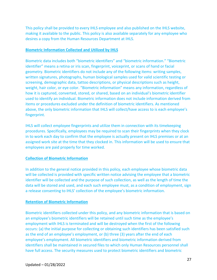This policy shall be provided to every IHLS employee and also published on the IHLS website, making it available to the public. This policy is also available separately for any employee who desires a copy from the Human Resources Department at IHLS.

## **Biometric Information Collected and Utilized by IHLS**

Biometric data includes both "biometric identifiers" and "biometric information." "Biometric identifier" means a retina or iris scan, fingerprint, voiceprint, or scans of hand or facial geometry. Biometric identifiers do not include any of the following items: writing samples, written signatures, photographs, human biological samples used for valid scientific testing or screening, demographic data, tattoo descriptions, or physical descriptions such as height, weight, hair color, or eye color. "Biometric information" means any information, regardless of how it is captured, converted, stored, or shared, based on an individual's biometric identifier used to identify an individual. Biometric information does not include information derived from items or procedures excluded under the definition of biometric identifiers. As mentioned above, the only biometric information that IHLS will collect/have access to is each employee's fingerprint.

IHLS will collect employee fingerprints and utilize them in connection with its timekeeping procedures. Specifically, employees may be required to scan their fingerprints when they clock in to work each day to confirm that the employee is actually present on IHLS premises or at an assigned work site at the time that they clocked in. This information will be used to ensure that employees are paid properly for time worked.

# **Collection of Biometric Information**

In addition to the general notice provided in this policy, each employee whose biometric data will be collected is provided with specific written notice advising the employee that a biometric identifier will be collected and the purpose of such collection, as well as the length of time the data will be stored and used, and each such employee must, as a condition of employment, sign a release consenting to IHLS' collection of the employee's biometric information.

# **Retention of Biometric Information**

Biometric identifiers collected under this policy, and any biometric information that is based on an employee's biometric identifiers will be retained until such time as the employee's employment with IHLS is terminated and will be destroyed when the first of the following occurs: (a) the initial purpose for collecting or obtaining such identifiers has been satisfied such as the end of an employee's employment, or (b) three (3) years after the end of each employee's employment. All biometric identifiers and biometric information derived from identifiers shall be maintained in secured files to which only Human Resources personnel shall have full access. The security measures used to protect biometric identifiers and biometric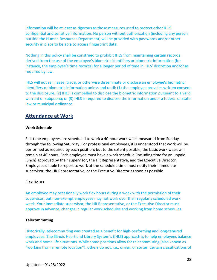information will be at least as rigorous as those measures used to protect other IHLS confidential and sensitive information. No person without authorization (including any person outside the Human Resources Department) will be provided with passwords and/or other security in place to be able to access fingerprint data.

Nothing in this policy shall be construed to prohibit IHLS from maintaining certain records derived from the use of the employee's biometric identifiers or biometric information (for instance, the employee's time records) for a longer period of time in IHLS' discretion and/or as required by law.

IHLS will not sell, lease, trade, or otherwise disseminate or disclose an employee's biometric identifiers or biometric information unless and until: (1) the employee provides written consent to the disclosure; (2) IHLS is compelled to disclose the biometric information pursuant to a valid warrant or subpoena; or (3) IHLS is required to disclose the information under a federal or state law or municipal ordinance.

# <span id="page-28-0"></span>**Attendance at Work**

# <span id="page-28-1"></span>**Work Schedule**

Full-time employees are scheduled to work a 40-hour work week measured from Sunday through the following Saturday. For professional employees, it is understood that work will be performed as required by each position; but to the extent possible, the basic work week will remain at 40 hours. Each employee must have a work schedule (including time for an unpaid lunch) approved by their supervisor, the HR Representative, and the Executive Director. Employees unable to report to work at the scheduled time must notify their immediate supervisor, the HR Representative, or the Executive Director as soon as possible.

## <span id="page-28-2"></span>**Flex Hours**

An employee may occasionally work flex hours during a week with the permission of their supervisor, but non-exempt employees may not work over their regularly scheduled work week. Your immediate supervisor, the HR Representative, or the Executive Director must approve in advance, changes in regular work schedules and working from home schedules.

## <span id="page-28-3"></span>**Telecommuting**

Historically, telecommuting was created as a benefit for high-performing and long-tenured employees. The Illinois Heartland Library System's (IHLS) approach is to help employees balance work and home life situations. While some positions allow for telecommuting (also known as "working from a remote location"), others do not, i.e., driver, or sorter. Certain classifications of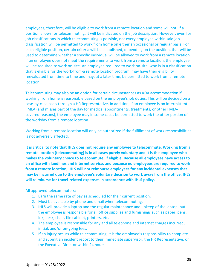employees, therefore, will be eligible to work from a remote location and some will not. If a position allows for telecommuting, it will be indicated on the job description. However, even for job classifications in which telecommuting is possible, not every employee within said job classification will be permitted to work from home on either an occasional or regular basis. For each eligible position, certain criteria will be established, depending on the position, that will be used to determine whether a specific individual will be allowed to work from a remote location. If an employee does not meet the requirements to work from a remote location, the employee will be required to work on-site. An employee required to work on-site, who is in a classification that is eligible for the work-from-a remote location program, may have their eligibility reevaluated from time to time and may, at a later time, be permitted to work from a remote location.

Telecommuting may also be an option for certain circumstances as ADA accommodation if working from home is reasonable based on the employee's job duties. This will be decided on a case-by-case basis through a HR Representative. In addition, if an employee is on intermittent FMLA (and misses part of the day for medical appointments, treatments, or other FMLAcovered reasons), the employee may in some cases be permitted to work the other portion of the workday from a remote location.

Working from a remote location will only be authorized if the fulfillment of work responsibilities is not adversely affected.

**It is critical to note that IHLS does not require any employee to telecommute. Working from a remote location (telecommuting) is in all cases purely voluntary and it is the employee who makes the voluntary choice to telecommute, if eligible. Because all employees have access to an office with landlines and internet service, and because no employees are required to work from a remote location, IHLS will not reimburse employees for any incidental expenses that may be incurred due to the employee's voluntary decision to work away from the office. IHLS will reimburse for travel-related expenses in accordance with IHLS policy.** 

All approved telecommuters:

- 1. Earn the same rate of pay as scheduled for their current position.
- 2. Must be available by phone and email when telecommuting.
- 3. IHLS will provide a laptop and the regular maintenance and upkeep of the laptop, but the employee is responsible for all office supplies and furnishings such as paper, pens, ink, desk, chair, file cabinet, printers, etc.
- 4. The employee is responsible for any and all telephone and internet charges incurred, initial, and/or on-going fees.
- 5. If an injury occurs while telecommuting, it is the employee's responsibility to complete and submit an incident report to their immediate supervisor, the HR Representative, or the Executive Director within 24 hours.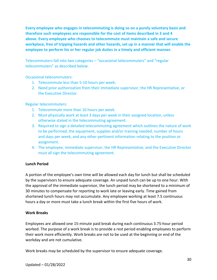**Every employee who engages in telecommuting is doing so on a purely voluntary basis and therefore such employees are responsible for the cost of items described in 3 and 4 above. Every employee who chooses to telecommute must maintain a safe and secure workplace, free of tripping hazards and other hazards, set up in a manner that will enable the employee to perform his or her regular job duties in a timely and efficient manner.** 

Telecommuters fall into two categories – "occasional telecommuters" and "regular telecommuters" as described below.

Occasional telecommuters:

- 1. Telecommute less than 5-10 hours per week.
- 2. Need prior authorization from their immediate supervisor, the HR Representative, or the Executive Director.

Regular telecommuters:

- 1. Telecommute more than 10 hours per week.
- 2. Must physically work at least 3 days per week in their assigned location, unless otherwise stated in the telecommuting agreement.
- 3. Required to sign a detailed telecommuting agreement which outlines the nature of work to be performed, the equipment, supplies and/or training needed, number of hours and days per week, and any other pertinent information relating to the position or assignment.
- 4. The employee, immediate supervisor, the HR Representative, and the Executive Director must all sign the telecommuting agreement.

## <span id="page-30-0"></span>**Lunch Period**

A portion of the employee's own time will be allowed each day for lunch but shall be scheduled by the supervisors to ensure adequate coverage. An unpaid lunch can be up to one hour. With the approval of the immediate supervisor, the lunch period may be shortened to a minimum of 30 minutes to compensate for reporting to work late or leaving early. Time gained from shortened lunch hours may not accumulate. Any employee working at least 7.5 continuous hours a day or more must take a lunch break within the first five hours of work.

# <span id="page-30-1"></span>**Work Breaks**

Employees are allowed one 15-minute paid break during each continuous 3.75-hour period worked. The purpose of a work break is to provide a rest period enabling employees to perform their work more efficiently. Work breaks are not to be used at the beginning or end of the workday and are not cumulative.

Work breaks may be scheduled by the supervisor to ensure adequate coverage.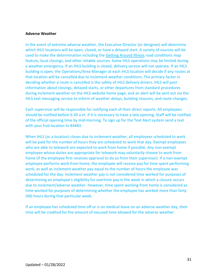#### <span id="page-31-0"></span>**Adverse Weather**

In the event of extreme adverse weather, the Executive Director (or designee) will determine which IHLS locations will be open, closed, or have a delayed start. A variety of sources will be used to make the determination including the [Getting Around Illinois](https://www.gettingaroundillinois.com/TravelerInfo/index.html) road conditions map feature, local closings, and other reliable sources. Some IHLS operations may be limited during a weather emergency. If an IHLS building is closed, delivery service will not operate. If an IHLS building is open, the Operations/Area Manager at each IHLS location will decide if any routes at that location will be cancelled due to inclement weather conditions. The primary factor in deciding whether a route is cancelled is the safety of IHLS delivery drivers. IHLS will post information about closings, delayed starts, or other departures from standard procedures during inclement weather on the IHLS website home page, and an alert will be sent out via the IHLS text messaging service to inform of weather delays, building closures, and route changes.

Each supervisor will be responsible for notifying each of their direct reports. All employees should be notified before 6:30 a.m. if it is necessary to have a late opening. Staff will be notified of the official opening time by mid-morning. To sign up for the Text Alert system send a text with your hub location to 84483.

When IHLS (or a location) closes due to inclement weather, all employees scheduled to work will be paid for the number of hours they are scheduled to work that day. Exempt employees who are able to telework are expected to work from home if possible. Any non-exempt employee whose duties are appropriate for telework may voluntarily choose to work from home (if the employee first receives approval to do so from their supervisor). If a non-exempt employee performs work from home, the employee will receive pay for time spent performing work, as well as inclement weather pay equal to the number of hours the employee was scheduled for the day. Inclement weather pay is not considered time worked for purposes of determining an employee's eligibility for overtime pay in the week in which a closure occurs due to inclement/adverse weather. However, time spent working from home is considered as time worked for purposes of determining whether the employee has worked more than forty (40) hours during that particular week.

If an employee has scheduled time off or is on medical leave on an adverse weather day, their time will be credited for the amount of excused time allowed for the adverse weather.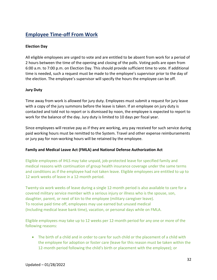# <span id="page-32-0"></span>**Employee Time-off From Work**

# <span id="page-32-1"></span>**Election Day**

All eligible employees are urged to vote and are entitled to be absent from work for a period of 2 hours between the time of the opening and closing of the polls. Voting polls are open from 6:00 a.m. to 7:00 p.m. on Election Day. This should provide sufficient time to vote. If additional time is needed, such a request must be made to the employee's supervisor prior to the day of the election. The employee's supervisor will specify the hours the employee can be off.

# <span id="page-32-2"></span>**Jury Duty**

Time away from work is allowed for jury duty. Employees must submit a request for jury leave with a copy of the jury summons before the leave is taken. If an employee on jury duty is contacted and told not to report or is dismissed by noon, the employee is expected to report to work for the balance of the day. Jury duty is limited to 10 days per fiscal year.

Since employees will receive pay as if they are working, any pay received for such service during paid working hours must be remitted to the System. Travel and other expense reimbursements or jury pay for non-working hours will be retained by the employee.

# <span id="page-32-3"></span>**Family and Medical Leave Act (FMLA) and National Defense Authorization Act**

Eligible employees of IHLS may take unpaid, job-protected leave for specified family and medical reasons with continuation of group health insurance coverage under the same terms and conditions as if the employee had not taken leave. Eligible employees are entitled to up to 12 work weeks of leave in a 12-month period.

Twenty-six work weeks of leave during a single 12-month period is also available to care for a covered military service member with a serious injury or illness who is the spouse, son, daughter, parent, or next of kin to the employee (military caregiver leave). To receive paid time off, employees may use earned but unused medical (Including medical leave bank time), vacation, or personal days while on FMLA.

Eligible employees may take up to 12 weeks per 12-month period for any one or more of the following reasons:

• The birth of a child and in order to care for such child or the placement of a child with the employee for adoption or foster care (leave for this reason must be taken within the 12-month period following the child's birth or placement with the employee); or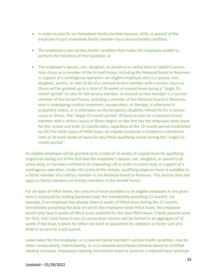- In order to care for an immediate family member (spouse, child, or parent) of the employee if such immediate family member has a serious health condition.
- The employee's own serious health condition that makes the employee unable to perform the functions of their position; or
- The employee's spouse, son, daughter, or parent is on active duty or called to activeduty status as a member of the Armed Forces, including the National Guard or Reserves in support of a contingency operation. An eligible employee who is a spouse, son, daughter, parent, or next of kin of a covered service member with a serious injury or illness will be granted up to a total of 26 weeks of unpaid leave during a "single 12 month period" to care for the service member. A covered service member is a current member of the Armed Forces, including a member of the National Guard or Reserves, who is undergoing medical treatment, recuperation, or therapy, is otherwise in outpatient status, or is otherwise on the temporary disability retired list for a serious injury or illness. The "single 12-month period" of leave to care for a covered service member with a serious injury or illness begins on the first day the employee takes leave for this reason and ends 12 months later, regardless of the 12-month period established by IHLS for other types of FMLA leave. An eligible employee is limited to a combined total of 26 work weeks of leave for any FMLA-qualifying reason during the "single 12 month period."

An eligible employee will be granted up to a total of 12 weeks of unpaid leave for qualifying exigencies arising out of the fact that the employee's spouse, son, daughter, or parent is on active duty, or has been notified of an impending call or order to active duty, in support of a contingency operation. Under the terms of the statute, qualifying exigency leave is available to a family member of a military member in the National Guard or Reserves. This section does not apply to family members of military members in the Armed Forces.

For all types of FMLA leave, the amount of leave available to an eligible employee at any given time is measured by looking backward over the immediately preceding 12 months. For example, if an employee has already taken 6 weeks of FMLA leave during the 12 months immediately preceding the date on which the employee needs FMLA leave, the employee would only have 6 weeks of FMLA leave available for the new FMLA leave. If both spouses work for IHLS, their total leave in any 12 consecutive months will be limited to an aggregate of 12 weeks if the leave is taken for either the birth or placement for adoption or foster care of a child or to care for a sick parent.

Leave taken for the employee, or a covered family member's serious health condition, may be taken consecutively, intermittently, or on a reduced work/leave schedule based on certified medical necessity. Employees needing intermittent leave or leave on a reduced leave schedule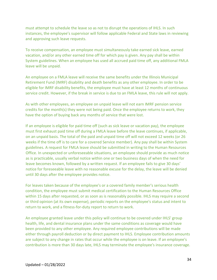must attempt to schedule the leave so as not to disrupt the operations of IHLS. In such instances, the employee's supervisor will follow applicable Federal and State laws in reviewing and approving such leave requests.

To receive compensation, an employee must simultaneously take earned sick leave, earned vacation, and/or any other earned time off for which pay is given. Any pay shall be within System guidelines. When an employee has used all accrued paid time off, any additional FMLA leave will be unpaid.

An employee on a FMLA leave will receive the same benefits under the Illinois Municipal Retirement Fund (IMRF) disability and death benefits as any other employee. In order to be eligible for IMRF disability benefits, the employee must have at least 12 months of continuous service credit. However, if the break in service is due to an FMLA leave, this rule will not apply.

As with other employees, an employee on unpaid leave will not earn IMRF pension service credits for the month(s) they were not being paid. Once the employee returns to work, they have the option of buying back any months of service that were lost.

If an employee is eligible for paid time off (such as sick leave or vacation pay), the employee must first exhaust paid time off during a FMLA leave before the leave continues, if applicable, on an unpaid basis. The total of the paid and unpaid time off will not exceed 12 weeks (or 26 weeks if the time off is to care for a covered Service member). Any pay shall be within System guidelines. A request for FMLA leave should be submitted in writing to the Human Resources Office. In unexpected or unforeseeable situations, an employee should provide as much notice as is practicable, usually verbal notice within one or two business days of when the need for leave becomes known, followed by a written request. If an employee fails to give 30 days' notice for foreseeable leave with no reasonable excuse for the delay, the leave will be denied until 30 days after the employee provides notice.

For leaves taken because of the employee's or a covered family member's serious health condition, the employee must submit medical certification to the Human Resources Office within 15 days after requested, or as soon as is reasonably possible. IHLS may require a second or third opinion (at its own expense), periodic reports on the employee's status and intent to return to work, and a fitness-for-duty report to return to work.

An employee granted leave under this policy will continue to be covered under IHLS' group health, life, and dental insurance plans under the same conditions as coverage would have been provided to any other employee. Any required employee contributions will be made either through payroll deduction or by direct payment to IHLS. Employee contribution amounts are subject to any change in rates that occur while the employee is on leave. If an employee's contribution is more than 30 days late, IHLS may terminate the employee's insurance coverage.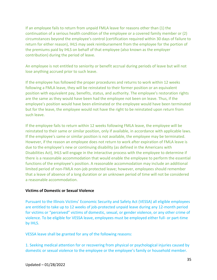If an employee fails to return from unpaid FMLA leave for reasons other than (1) the continuation of a serious health condition of the employee or a covered family member or (2) circumstances beyond the employee's control (certification required within 30 days of failure to return for either reason), IHLS may seek reimbursement from the employee for the portion of the premiums paid by IHLS on behalf of that employee (also known as the employer contribution) during the period of leave.

An employee is not entitled to seniority or benefit accrual during periods of leave but will not lose anything accrued prior to such leave.

If the employee has followed the proper procedures and returns to work within 12 weeks following a FMLA leave, they will be reinstated to their former position or an equivalent position with equivalent pay, benefits, status, and authority. The employee's restoration rights are the same as they would have been had the employee not been on leave. Thus, if the employee's position would have been eliminated or the employee would have been terminated but for the leave, the employee would not have the right to be reinstated upon return from such leave.

If the employee fails to return within 12 weeks following FMLA leave, the employee will be reinstated to their same or similar position, only if available, in accordance with applicable laws. If the employee's same or similar position is not available, the employee may be terminated. However, if the reason an employee does not return to work after expiration of FMLA leave is due to the employee's new or continuing disability (as defined in the Americans with Disabilities Act), IHLS will engage in the interactive process with the employee to determine if there is a reasonable accommodation that would enable the employee to perform the essential functions of the employee's position. A reasonable accommodation may include an additional limited period of non-FMLA non-job protected leave; however, employees should remember that a leave of absence of a long duration or an unknown period of time will not be considered a reasonable accommodation.

## **Victims of Domestic or Sexual Violence**

Pursuant to the Illinois Victims' Economic Security and Safety Act (VESSA) all eligible employees are entitled to take up to 12 weeks of job-protected unpaid leave during any 12-month period for victims or "perceived" victims of domestic, sexual, or gender violence, or any other crime of violence. To be eligible for VESSA leave, employees must be employed either full- or part-time by IHLS.

VESSA leave shall be granted for any of the following reasons:

1. Seeking medical attention for or recovering from physical or psychological injuries caused by domestic or sexual violence to the employee or the employee's family or household member.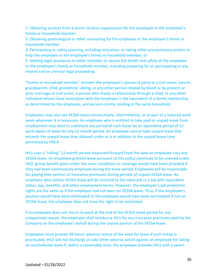2. Obtaining services from a victim services organization for the employee or the employee's family or household member.

3. Obtaining psychological or other counseling for the employee or the employee's family or household member.

4. Participating in safety planning, including relocation, or taking other precautionary actions to help the employee or the employee's family or household member; or

5. Seeking legal assistance or other remedies to secure the health and safety of the employee or the employee's family or household member, including preparing for or participating in any related civil or criminal legal proceeding.

"Family or household member" includes the employee's spouse or party to a civil union, parent, grandparent, child, grandchild, sibling, or any other person related by blood or by present or prior marriage or civil union, a person who shares a relationship through a child, or any other individual whose close association with the employee is the equivalent of a family relationship as determined by the employee, and persons jointly residing in the same household.

Employees may also use VESSA leave consecutively, intermittently, or as part of a reduced work week whenever it is necessary. An employee who is entitled to take paid or unpaid leave from employment may elect to substitute any period of such leave for an equivalent period of 12 work weeks of leave for any 12-month period. An employee cannot take unpaid leave that exceeds the unpaid leave time allowed under or is in addition to the unpaid leave time permitted by FMLA.

IHLS uses a "rolling" 12-month period measured forward from the date an employee uses any VESSA leave. An employee granted leave pursuant to this policy continues to be covered under IHLS' group benefit plans under the same conditions as coverage would have been provided if they had been continuously employed during the leave period. Employees will be responsible for paying their portion of insurance premiums during periods of unpaid VESSA leave. An employee who utilizes VESSA leave will be restored to the same job or a job with equivalent status, pay, benefits, and other employment terms. However, the employee's job protection rights are the same as if the employee had not been on VESSA leave. Thus, if the employee's position would have been eliminated or the employee would have been terminated if not on VESSA leave, the employee does not have the right to be reinstated.

If an employee does not return to work at the end of the VESSA leave period for any unapproved reason, the employee shall reimburse IHLS for any insurance premiums paid by the Company on the employee's behalf during the unpaid portion of the VESSA leave.

Employees must provide 48 hours' advance notice of the need for leave if such notice is practicable. IHLS will not discharge or take other adverse action against an employee for taking an unscheduled leave if, within a reasonable time, the employee provides IHLS with a sworn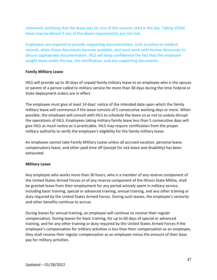statement certifying that the leave was for one of the reasons cited in the law. Taking VESSA leave may be denied if any of the above requirements are not met.

Employees are required to provide supporting documentation, such as police or medical records, when those documents become available, and must work with Human Resources to discuss appropriate documentation. IHLS will keep confidential the fact that the employee sought leave under the law, the certification, and any supporting documents.

# **Family Military Leave**

IHLS will provide up to 30 days of unpaid family military leave to an employee who is the spouse or parent of a person called to military service for more than 30 days during the time Federal or State deployment orders are in effect.

The employee must give at least 14 days' notice of the intended date upon which the family military leave will commence if the leave consists of 5 consecutive working days or more. When possible, the employee will consult with IHLS to schedule the leave so as not to unduly disrupt the operations of IHLS. Employees taking military family leave less than 5 consecutive days will give IHLS as much notice as is practicable. IHLS may require certification from the proper military authority to verify the employee's eligibility for the family military leave.

An employee cannot take Family Military Leave unless all accrued vacation, personal leave, compensatory leave, and other paid time off (except for sick leave and disability) has been exhausted.

# **Military Leave**

Any employee who works more than 30 hours, who is a member of any reserve component of the United States Armed Forces or of any reserve component of the Illinois State Militia, shall be granted leave from their employment for any period actively spent in military service, including basic training, special or advanced training, annual training, and any other training or duty required by the United States Armed Forces. During such leaves, the employee's seniority and other benefits continue to accrue.

During leaves for annual training, an employee will continue to receive their regular compensation. During leaves for basic training, for up to 60 days of special or advanced training, and for any other training or duty required by the United States Armed Forces if the employee's compensation for military activities is less than their compensation as an employee, they shall receive their regular compensation as an employee minus the amount of their base pay for military activities.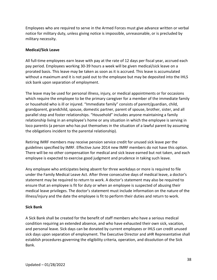Employees who are required to serve in the Armed Forces must give advance written or verbal notice for military duty, unless giving notice is impossible, unreasonable, or is precluded by military necessity.

# <span id="page-38-0"></span>**Medical/Sick Leave**

All full-time employees earn leave with pay at the rate of 12 days per fiscal year, accrued each pay period. Employees working 30-39 hours a week will be given medical/sick leave on a prorated basis. This leave may be taken as soon as it is accrued. This leave is accumulated without a maximum and it is not paid out to the employee but may be deposited into the IHLS sick bank upon separation of employment.

The leave may be used for personal illness, injury, or medical appointments or for occasions which require the employee to be the primary caregiver for a member of the immediate family or household who is ill or injured. "Immediate family" consists of parent/guardian, child, grandparent, grandchild, spouse, domestic partner, parent of spouse, brother, sister, and all parallel step and foster relationships. "Household" includes anyone maintaining a family relationship living in an employee's home or any situation in which the employee is serving in loco parentis (a person who has put themselves in the situation of a lawful parent by assuming the obligations incident to the parental relationship).

Retiring IMRF members may receive pension service credit for unused sick leave per the guidelines specified by IMRF. Effective June 2014 new IMRF members do not have this option. There will be no other compensation for medical and sick leave earned but not taken, and each employee is expected to exercise good judgment and prudence in taking such leave.

Any employee who anticipates being absent for three workdays or more is required to file under the Family Medical Leave Act. After three consecutive days of medical leave, a doctor's statement may be required to return to work. A doctor's statement may also be required to ensure that an employee is fit for duty or when an employee is suspected of abusing their medical leave privileges. The doctor's statement must include information on the nature of the illness/injury and the date the employee is fit to perform their duties and return to work.

# <span id="page-38-1"></span>**Sick Bank**

A Sick Bank shall be created for the benefit of staff members who have a serious medical condition requiring an extended absence, and who have exhausted their own sick, vacation, and personal leave. Sick days can be donated by current employees or IHLS can credit unused sick days upon separation of employment. The Executive Director and aHR Representative shall establish procedures governing the eligibility criteria, operation, and dissolution of the Sick Bank.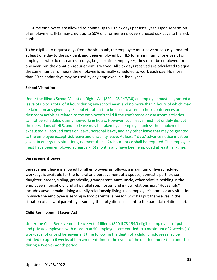Full-time employees are allowed to donate up to 10 sick days per fiscal year. Upon separation of employment, IHLS may credit up to 50% of a former employee's unused sick days to the sick bank.

To be eligible to request days from the sick bank, the employee must have previously donated at least one day to the sick bank and been employed by IHLS for a minimum of one year. For employees who do not earn sick days, i.e., part-time employees, they must be employed for one year, but the donation requirement is waived. All sick days received are calculated to equal the same number of hours the employee is normally scheduled to work each day. No more than 30 calendar days may be used by any employee in a fiscal year.

# <span id="page-39-0"></span>**School Visitation**

Under the Illinois School Visitation Rights Act (820 ILCS 147/30) an employee must be granted a leave of up to a total of 8 hours during any school year, and no more than 4 hours of which may be taken on any given day. School visitation is to be used to attend school conferences or classroom activities related to the employee's child if the conference or classroom activities cannot be scheduled during nonworking hours. However, such leave must not unduly disrupt the operations of IHLS, and no leave may be taken by an employee unless the employee has exhausted all accrued vacation leave, personal leave, and any other leave that may be granted to the employee except sick leave and disability leave. At least 7 days' advance notice must be given. In emergency situations, no more than a 24-hour notice shall be required. The employee must have been employed at least six (6) months and have been employed at least half-time.

## <span id="page-39-1"></span>**Bereavement Leave**

Bereavement leave is allowed for all employees as follows: a maximum of five scheduled workdays is available for the funeral and bereavement of a spouse, domestic partner, son, daughter, parent, sibling, grandchild, grandparent, aunt, uncle, other relative residing in the employee's household, and all parallel step, foster, and in-law relationships. "Household" includes anyone maintaining a family relationship living in an employee's home or any situation in which the employee is serving in loco parentis (a person who has put themselves in the situation of a lawful parent by assuming the obligations incident to the parental relationship).

## <span id="page-39-2"></span>**Child Bereavement Leave Act**

Under the Child Bereavement Leave Act of Illinois (820 ILCS 154/) eligible employees of public and private employers with more than 50 employees are entitled to a maximum of 2 weeks (10 workdays) of unpaid bereavement time following the death of a child. Employees may be entitled to up to 6 weeks of bereavement time in the event of the death of more than one child during a twelve-month period.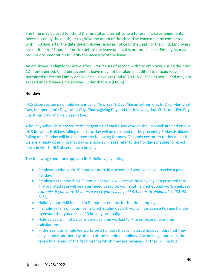The time may be used to attend the funeral or alternative to a funeral, make arrangements necessitated by the death, or to grieve the death of the child. The leave must be completed within 60 days after the date the employee receives notice of the death of the child. Employers are entitled to 48 hours of notice before the leave unless it is not practicable. Employers may require documentation to verify the necessity of the leave.

An employee is eligible for leave after 1,250 hours of service with the employer during the prior 12-month period. Child bereavement leave may not be taken in addition to unpaid leave permitted under the Family and Medical Leave Act (FMLA)(29 U.S.C. 2601 et seq.) , and may not exceed unpaid leave time allowed under that law (FMLA).

## <span id="page-40-0"></span>**Holidays**

IHLS observes ten paid holidays annually: New Year's Day; Martin Luther King Jr. Day, Memorial Day, Independence Day, Labor Day, Thanksgiving Day and the following day, Christmas Eve Day, Christmas Day, and New Year's Eve.

A holiday schedule is posted at the beginning of each fiscal year on the IHLS website and on our IHLS Intranet. Holidays falling on a Saturday will be observed on the preceding Friday. Holidays falling on a Sunday will be observed the following Monday. The only exception to this rule is if we are already observing that day as a holiday. Please refer to the holiday schedule for exact dates in which IHLS observes as a holiday.

The following conditions apply to IHLS Holiday pay policy:

- Employees who work 30 hours or more in a scheduled work week will receive a paid holiday.
- Employees that work 30-39 hours per week will receive holiday pay at a prorated rate. The prorated rate will be determined based on your routinely scheduled work week. *For example, if you work 32 hours a week you will be paid 6.4 hours of Holiday Pay (32/40 \*8hr).*
- Holiday hours will be paid in 8-hour increments for full-time employees.
- If a holiday falls on your normally scheduled day off, you will be given a floating holiday to ensure that you receive 10 holidays annually.
- Holiday pay will not be considered as time worked for the purpose of overtime calculations.
- In the event an employee works on a holiday, they will accrue holiday hours that they may choose another day off lieu of the scheduled holiday. Any holiday hours must be taken by the end of the fiscal year in which they are received, or they will be lost.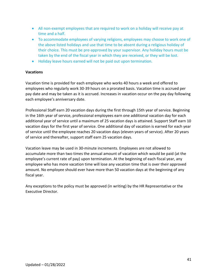- All non-exempt employees that are required to work on a holiday will receive pay at time and a half.
- To accommodate employees of varying religions, employees may choose to work one of the above listed holidays and use that time to be absent during a religious holiday of their choice. This must be pre-approved by your supervisor. Any holiday hours must be taken by the end of the fiscal year in which they are received, or they will be lost.
- Holiday leave hours earned will not be paid out upon termination.

# <span id="page-41-0"></span>**Vacations**

Vacation time is provided for each employee who works 40 hours a week and offered to employees who regularly work 30-39 hours on a prorated basis. Vacation time is accrued per pay date and may be taken as it is accrued. Increases in vacation occur on the pay day following each employee's anniversary date.

Professional Staff earn 20 vacation days during the first through 15th year of service. Beginning in the 16th year of service, professional employees earn one additional vacation day for each additional year of service until a maximum of 25 vacation days is attained. Support Staff earn 10 vacation days for the first year of service. One additional day of vacation is earned for each year of service until the employee reaches 20 vacation days (eleven years of service). After 20 years of service and thereafter, support staff earn 25 vacation days.

Vacation leave may be used in 30-minute increments. Employees are not allowed to accumulate more than two times the annual amount of vacation which would be paid (at the employee's current rate of pay) upon termination. At the beginning of each fiscal year, any employee who has more vacation time will lose any vacation time that is over their approved amount. No employee should ever have more than 50 vacation days at the beginning of any fiscal year.

Any exceptions to the policy must be approved (in writing) by the HR Representative or the Executive Director.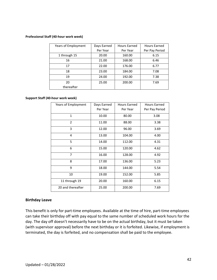#### **Professional Staff (40-hour work week)**

| Years of Employment | Days Earned | Hours Earned | Hours Earned   |
|---------------------|-------------|--------------|----------------|
|                     | Per Year    | Per Year     | Per Pay Period |
| 1 through 15        | 20.00       | 160.00       | 6.15           |
| 16                  | 21.00       | 168.00       | 6.46           |
| 17                  | 22.00       | 176.00       | 6.77           |
| 18                  | 23.00       | 184.00       | 7.08           |
| 19                  | 24.00       | 192.00       | 7.38           |
| 20                  | 25.00       | 200.00       | 7.69           |
| thereafter          |             |              |                |

#### **Support Staff (40-hour work week)**

| Years of Employment | Days Earned | <b>Hours Earned</b> | <b>Hours Earned</b> |
|---------------------|-------------|---------------------|---------------------|
|                     | Per Year    | Per Year            | Per Pay Period      |
| $\mathbf{1}$        | 10.00       | 80.00               | 3.08                |
| $\overline{2}$      | 11.00       | 88.00               | 3.38                |
| 3                   | 12.00       | 96.00               | 3.69                |
| 4                   | 13.00       | 104.00              | 4.00                |
| 5                   | 14.00       | 112.00              | 4.31                |
| 6                   | 15.00       | 120.00              | 4.62                |
| $\overline{7}$      | 16.00       | 128.00              | 4.92                |
| 8                   | 17.00       | 136.00              | 5.23                |
| 9                   | 18.00       | 144.00              | 5.54                |
| 10                  | 19.00       | 152.00              | 5.85                |
| 11 through 19       | 20.00       | 160.00              | 6.15                |
| 20 and thereafter   | 25.00       | 200.00              | 7.69                |

#### <span id="page-42-0"></span>**Birthday Leave**

This benefit is only for part-time employees. Available at the time of hire, part-time employees can take their birthday off with pay equal to the same number of scheduled work hours for the day. The day off doesn't necessarily have to be on the actual birthday, but it must be taken (with supervisor approval) before the next birthday or it is forfeited. Likewise, if employment is terminated, the day is forfeited, and no compensation shall be paid to the employee.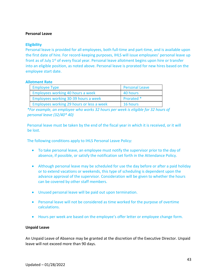## <span id="page-43-0"></span>**Personal Leave**

#### **Eligibility**

Personal leave is provided for all employees, both full-time and part-time, and is available upon the first date of hire. For record-keeping purposes, IHLS will issue employees' personal leave up front as of July 1<sup>st</sup> of every fiscal year. Personal leave allotment begins upon hire or transfer into an eligible position, as noted above. Personal leave is prorated for new hires based on the employee start date.

#### **Allotment Rate**

| <b>Employee Type</b>                      | <b>Personal Leave</b> |
|-------------------------------------------|-----------------------|
| Employees working 40 hours a week         | 40 hours              |
| Employees working 30-39 hours a week      | Prorated *            |
| Employees working 29 hours or less a week | 16 hours              |

*\*For example, an employee who works 32 hours per week is eligible for 32 hours of personal leave (32/40\* 40)*

Personal leave must be taken by the end of the fiscal year in which it is received, or it will be lost.

The following conditions apply to IHLS Personal Leave Policy:

- To take personal leave, an employee must notify the supervisor prior to the day of absence, if possible, or satisfy the notification set forth in the Attendance Policy.
- Although personal leave may be scheduled for use the day before or after a paid holiday or to extend vacations or weekends, this type of scheduling is dependent upon the advance approval of the supervisor. Consideration will be given to whether the hours can be covered by other staff members.
- Unused personal leave will be paid out upon termination.
- Personal leave will not be considered as time worked for the purpose of overtime calculations.
- Hours per week are based on the employee's offer letter or employee change form.

## <span id="page-43-1"></span>**Unpaid Leave**

An Unpaid Leave of Absence may be granted at the discretion of the Executive Director. Unpaid leave will not exceed more than 90 days.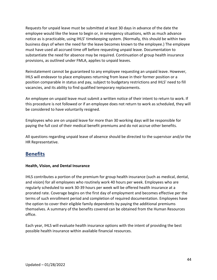Requests for unpaid leave must be submitted at least 30 days in advance of the date the employee would like the leave to begin or, in emergency situations, with as much advance notice as is practicable, using IHLS' timekeeping system. (Normally, this should be within two business days of when the need for the leave becomes known to the employee.) The employee must have used all accrued time off before requesting unpaid leave. Documentation to substantiate the need for absence may be required. Continuation of group health insurance provisions, as outlined under FMLA, applies to unpaid leaves.

Reinstatement cannot be guaranteed to any employee requesting an unpaid leave. However, IHLS will endeavor to place employees returning from leave in their former position or a position comparable in status and pay, subject to budgetary restrictions and IHLS' need to fill vacancies, and its ability to find qualified temporary replacements.

An employee on unpaid leave must submit a written notice of their intent to return to work. If this procedure is not followed or if an employee does not return to work as scheduled, they will be considered to have voluntarily resigned.

Employees who are on unpaid leave for more than 30 working days will be responsible for paying the full cost of their medical benefit premiums and do not accrue other benefits.

All questions regarding unpaid leave of absence should be directed to the supervisor and/or the HR Representative.

# <span id="page-44-0"></span>**Benefits**

# <span id="page-44-1"></span>**Health, Vision, and Dental Insurance**

IHLS contributes a portion of the premium for group health insurance (such as medical, dental, and vision) for all employees who routinely work 40 hours per week. Employees who are regularly scheduled to work 30-39 hours per week will be offered health insurance at a prorated rate. Coverage begins on the first day of employment and becomes effective per the terms of such enrollment period and completion of required documentation. Employees have the option to cover their eligible family dependents by paying the additional premiums themselves. A summary of the benefits covered can be obtained from the Human Resources office.

Each year, IHLS will evaluate health insurance options with the intent of providing the best possible health insurance within available financial resources.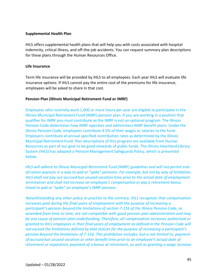## <span id="page-45-0"></span>**Supplemental Health Plan**

IHLS offers supplemental health plans that will help you with costs associated with hospital indemnity, critical illness, and off-the-job accidents. You can request summary plan descriptions for these plans through the Human Resources Office.

# <span id="page-45-1"></span>**Life Insurance**

Term life insurance will be provided by IHLS to all employees. Each year IHLS will evaluate life insurance options. If IHLS cannot pay the entire cost of the premiums for life insurance, employees will be asked to share in that cost.

# <span id="page-45-2"></span>**Pension Plan (Illinois Municipal Retirement Fund or IMRF)**

Employees who routinely work 1,000 or more hours per year are eligible to participate in the Illinois Municipal Retirement Fund (IMRF) pension plan. If you are working in a position that qualifies for IMRF you must contribute as the IMRF is not an optional program. The Illinois Pension Code determines how IMRF operates and administers IMRF benefit plans. Under the Illinois Pension Code, employees contribute 4.5% of their wages or salaries to the fund. Employers contribute at annual specified contribution rates as determined by the Illinois Municipal Retirement Fund. Plan descriptions of this program are available from Human Resources as part of our goal to be good stewards of public funds. The Illinois Heartland Library System (IHLS) has adopted a Pension Management Safeguards Policy, which is presented below:

*IHLS will adhere to Illinois Municipal Retirement Fund (IMRF) guidelines and will not permit endof-career payouts in a way to pad or "spike" pensions. For example, but not by way of limitation, IHLS shall not pay out accrued but unused vacation time prior to the actual date of employment termination and shall not increase an employee's compensation or pay a retirement bonus timed to pad or "spike" an employee's IMRF pension.* 

*Notwithstanding any other policy or practice to the contrary, IHLS recognizes that compensation increases paid during the final years of employment with the purpose of increasing a participant's pension beyond the limitations of section 7-116 of the Illinois Pension Code, as amended from time to time, are not compatible with good pension plan administration and may be one cause of pension plan underfunding. Therefore, all compensation increases authorized or granted to IHLS employees in their final years of employment as defined in the Pension Code will not exceed the limitations defined by that statute for the purpose of increasing a participant's pension beyond the limitations of 7-116. This prohibition includes, but is not limited to, payment of accrued but unused vacation or other benefit time prior to an employee's actual date of retirement or separation, payment of a bonus at retirement, as well as granting a wage increase*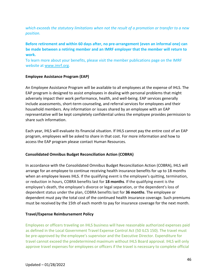*which exceeds the statutory limitations when not the result of a promotion or transfer to a new position.* 

# **Before retirement and within 60 days after, no pre-arrangement (even an informal one) can be made between a retiring member and an IMRF employer that the member will return to work.**

To learn more about your benefits, please visit the member publications page on the IMRF website at [www.imrf.org.](file://br-edw-fs1.ihls.lcl/HR$/Personnel%20Committee/www.imrf.org)

# <span id="page-46-0"></span>**Employee Assistance Program (EAP)**

An Employee Assistance Program will be available to all employees at the expense of IHLS. The EAP program is designed to assist employees in dealing with personal problems that might adversely impact their work performance, health, and well-being. EAP services generally include assessments, short-term counseling, and referral services for employees and their household members. Any information or issues shared by an employee with an EAP representative will be kept completely confidential unless the employee provides permission to share such information.

Each year, IHLS will evaluate its financial situation. If IHLS cannot pay the entire cost of an EAP program, employees will be asked to share in that cost. For more information and how to access the EAP program please contact Human Resources.

# <span id="page-46-1"></span>**Consolidated Omnibus Budget Reconciliation Action (COBRA)**

In accordance with the Consolidated Omnibus Budget Reconciliation Action (COBRA), IHLS will arrange for an employee to continue receiving health insurance benefits for up to 18 months when an employee leaves IHLS. If the qualifying event is the employee's quitting, termination, or reduction in hours, COBRA benefits last for **18 months**. If the qualifying event is the employee's death, the employee's divorce or legal separation, or the dependent's loss of dependent status under the plan, COBRA benefits last for **36 months**. The employee or dependent must pay the total cost of the continued health insurance coverage. Such premiums must be received by the 15th of each month to pay for insurance coverage for the next month.

# <span id="page-46-2"></span>**Travel/Expense Reimbursement Policy**

Employees or officers traveling on IHLS business will have reasonable authorized expenses paid as defined in the Local Government Travel Expense Control Act (50 ILCS 150). The travel must be pre-approved by the employee's supervisor and the Executive Director. Expenditure for travel cannot exceed the predetermined maximum without IHLS Board approval. IHLS will only approve travel expenses for employees or officers if the travel is necessary to complete official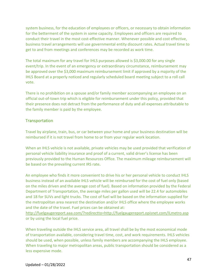system business, for the education of employees or officers, or necessary to obtain information for the betterment of the system in some capacity. Employees and officers are required to conduct their travel in the most cost-effective manner. Whenever possible and cost effective, business travel arrangements will use governmental entity discount rates. Actual travel time to get to and from meetings and conferences may be recorded as work time.

The total maximum for any travel for IHLS purposes allowed is \$3,000.00 for any single event/trip. In the event of an emergency or extraordinary circumstance, reimbursement may be approved over the \$3,000 maximum reimbursement limit if approved by a majority of the IHLS Board at a properly noticed and regularly scheduled board meeting subject to a roll call vote.

There is no prohibition on a spouse and/or family member accompanying an employee on an official out-of-town trip which is eligible for reimbursement under this policy, provided that their presence does not detract from the performance of duty and all expenses attributable to the family member is paid by the employee.

# **Transportation**

Travel by airplane, train, bus, or car between your home and your business destination will be reimbursed if it is not travel from home to or from your regular work location.

When an IHLS vehicle is not available, private vehicles may be used provided that verification of personal vehicle liability insurance and proof of a current, valid driver's license has been previously provided to the Human Resources Office. The maximum mileage reimbursement will be based on the prevailing current IRS rate**.** 

An employee who finds it more convenient to drive his or her personal vehicle to conduct IHLS business instead of an available IHLS vehicle will be reimbursed for the cost of fuel only (based on the miles driven and the average cost of fuel). Based on information provided by the Federal Department of Transportation, the average miles per gallon used will be 22.4 for automobiles and 18 for SUVs and light trucks. The cost of fuel will be based on the information supplied for the metropolitan area nearest the destination and/or IHLS office where the employee works and the date of the travel. Fuel prices can be obtained at:

<http://fuelgaugereport.aaa.com/?redirectto=http://fuelgaugereport.opisnet.com/ILmetro.asp> or by using the local fuel price.

When traveling outside the IHLS service area, all travel shall be by the most economical mode of transportation available, considering travel time, cost, and work requirements. IHLS vehicles should be used, when possible, unless family members are accompanying the IHLS employee. When traveling to major metropolitan areas, public transportation should be considered as a less expensive mode.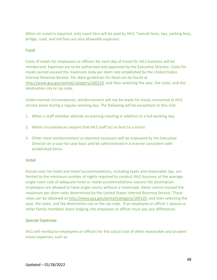When air travel is required, only coach fare will be paid by IHLS. Taxicab fares, tips, parking fees, bridge, road, and toll fees are also allowable expenses.

# Food

Costs of meals for employees or officers for each day of travel for IHLS business will be reimbursed. Expenses are to be authorized and approved by the Executive Director. Costs for meals cannot exceed the maximum daily per diem rate established by the United States Internal Revenue Service. Per diem guidelines for food can be found at [http://www.gsa.gov/portal/category/100120,](http://www.gsa.gov/portal/category/100120) and then selecting the year, the state, and the destination city or zip code.

Under normal circumstances, reimbursement will not be made for meals consumed in IHLS service areas during a regular working day. The following will be exceptions to this rule:

- 1. When a staff member attends an evening meeting in addition to a full working day.
- 2. When circumstances require that IHLS staff act as host to a visitor.
- 3. Other meal reimbursement as deemed necessary will be evaluated by the Executive Director on a case-by-case basis and be administered in a manner consistent with established limits.

# **Hotel**

Actual costs for hotel and motel accommodations, including taxes and reasonable tips, are limited to the minimum number of nights required to conduct IHLS business at the average single room rate of adequate hotel or motel accommodations nearest the destination. Employees are allowed to have single rooms without a roommate. Rates cannot exceed the maximum per diem rates determined by the United States Internal Revenue Service. These rates can be obtained at [http://www.gsa.gov/portal/category/100120,](http://www.gsa.gov/portal/category/100120) and then selecting the year, the state, and the destination city or the zip code. If an employee or officer's spouse or other family members share lodging, the employee or officer must pay any differences.

# Special Expenses

IHLS will reimburse employees or officers for the actual cost of other reasonable and prudent travel expenses, such as: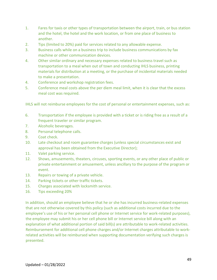- 1. Fares for taxis or other types of transportation between the airport, train, or bus station and the hotel, the hotel and the work location, or from one place of business to another.
- 2. Tips (limited to 20%) paid for services related to any allowable expense.
- 3. Business calls while on a business trip to include business communications by fax machine or other communication devices.
- 4. Other similar ordinary and necessary expenses related to business travel such as transportation to a meal when out of town and conducting IHLS business, printing materials for distribution at a meeting, or the purchase of incidental materials needed to make a presentation.
- 4. Conference and workshop registration fees.
- 5. Conference meal costs above the per diem meal limit, when it is clear that the excess meal cost was required.

IHLS will not reimburse employees for the cost of personal or entertainment expenses, such as:

- 6. Transportation if the employee is provided with a ticket or is riding free as a result of a frequent traveler or similar program.
- 7. Alcoholic beverages.
- 8. Personal telephone calls.
- 9. Coat check.
- 10. Late checkout and room guarantee charges (unless special circumstances exist and approval has been obtained from the Executive Director);
- 11. Valet parking service.
- 12. Shows, amusements, theaters, circuses, sporting events, or any other place of public or private entertainment or amusement, unless ancillary to the purpose of the program or event.
- 13. Repairs or towing of a private vehicle.
- 14. Parking tickets or other traffic tickets.
- 15. Charges associated with locksmith service.
- 16. Tips exceeding 20%

In addition, should an employee believe that he or she has incurred business-related expenses that are not otherwise covered by this policy (such as additional costs incurred due to the employee's use of his or her personal cell phone or Internet service for work-related purposes), the employee may submit his or her cell phone bill or Internet service bill along with an explanation of what additional portion of said bill(s) are attributable to work-related activities. Reimbursement for additional cell phone charges and/or Internet charges attributable to workrelated activities will be reimbursed when supporting documentation verifying such charges is presented.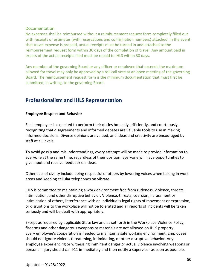# **Documentation**

No expenses shall be reimbursed without a reimbursement request form completely filled out with receipts or estimates (with reservations and confirmation numbers) attached. In the event that travel expense is prepaid, actual receipts must be turned in and attached to the reimbursement request form within 30 days of the completion of travel. Any amount paid in excess of the actual receipts filed must be repaid to IHLS within 30 days.

Any member of the governing Board or any officer or employee that exceeds the maximum allowed for travel may only be approved by a roll call vote at an open meeting of the governing Board. The reimbursement request form is the minimum documentation that must first be submitted, in writing, to the governing Board.

# <span id="page-50-0"></span>**Professionalism and IHLS Representation**

# <span id="page-50-1"></span>**Employee Respect and Behavior**

Each employee is expected to perform their duties honestly, efficiently, and courteously, recognizing that disagreements and informed debates are valuable tools to use in making informed decisions. Diverse opinions are valued, and ideas and creativity are encouraged by staff at all levels.

To avoid gossip and misunderstandings, every attempt will be made to provide information to everyone at the same time, regardless of their position. Everyone will have opportunities to give input and receive feedback on ideas.

Other acts of civility include being respectful of others by lowering voices when talking in work areas and keeping cellular telephones on vibrate.

IHLS is committed to maintaining a work environment free from rudeness, violence, threats, intimidation, and other disruptive behavior. Violence, threats, coercion, harassment or intimidation of others, interference with an individual's legal rights of movement or expression, or disruptions to the workplace will not be tolerated and all reports of incidents will be taken seriously and will be dealt with appropriately.

Except as required by applicable State law and as set forth in the Workplace Violence Policy, firearms and other dangerous weapons or materials are not allowed on IHLS property. Every employee's cooperation is needed to maintain a safe working environment. Employees should not ignore violent, threatening, intimidating, or other disruptive behavior. Any employee experiencing or witnessing imminent danger or actual violence involving weapons or personal injury should call 911 immediately and then notify a supervisor as soon as possible.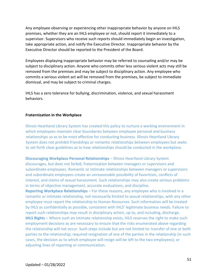Any employee observing or experiencing other inappropriate behavior by anyone on IHLS premises, whether they are an IHLS employee or not, should report it immediately to a supervisor. Supervisors who receive such reports should immediately begin an investigation, take appropriate action, and notify the Executive Director. Inappropriate behavior by the Executive Director should be reported to the President of the Board.

Employees displaying inappropriate behavior may be referred to counseling and/or may be subject to disciplinary action. Anyone who commits other less serious violent acts may still be removed from the premises and may be subject to disciplinary action. Any employee who commits a serious violent act will be removed from the premises, be subject to immediate dismissal, and may be subject to criminal charges.

IHLS has a zero tolerance for bullying, discrimination, violence, and sexual harassment behaviors.

#### <span id="page-51-0"></span>**Fraternization in the Workplace**

Illinois Heartland Library System has created this policy to nurture a working environment in which employees maintain clear boundaries between employee personal and business relationships so as to be most effective for conducting business. Illinois Heartland Library System does not prohibit friendships or romantic relationships between employees but seeks to set forth clear guidelines as to how relationships should be conducted in the workplace.

**Discouraging Workplace Personal Relationships** – Illinois Heartland Library System discourages, but does not forbid, fraternization between managers or supervisors and subordinate employees. Romantic or intimate relationships between managers or supervisors and subordinate employees create an unreasonable possibility of favoritism, conflicts of interest, and claims of sexual harassment. Such relationships may also create serious problems in terms of objective management, accurate evaluations, and discipline.

**Reporting Workplace Relationships** – For these reasons, any employee who is involved in a romantic or intimate relationship, not necessarily limited to sexual relationships, with any other employee must report the relationship to Human Resources. Such information will be treated by IHLS as confidentially as possible, consistent with IHLS' legitimate business needs. Failure to report such relationships may result in disciplinary action, up to, and including, discharge. **IHLS Rights** – Where such an intimate relationship exists, IHLS reserves the right to make such employment decisions as are necessary to ensure that the risks enumerated above regarding the relationship will not occur. Such steps include but are not limited to: transfer of one or both parties to the relationship; required resignation of one of the parties in the relationship (in such cases, the decision as to which employee will resign will be left to the two employees); or adjusting lines of reporting or communication.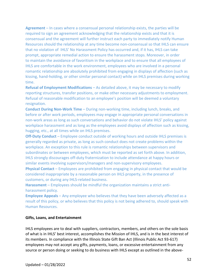**Agreement** – In cases where a consensual personal relationship exists, the parties will be required to sign an agreement acknowledging that the relationship exists and that it is consensual and the agreement will further instruct each party to immediately notify Human Resources should the relationship at any time become non-consensual so that IHLS can ensure that no violation of IHLS' No Harassment Policy has occurred and, if it has, IHLS can take prompt, appropriate remedial action to ensure the harassment stops. Moreover, in order to maintain the avoidance of favoritism in the workplace and to ensure that all employees of IHLS are comfortable in the work environment, employees who are involved in a personal romantic relationship are absolutely prohibited from engaging in displays of affection (such as kissing, hand-holding, or other similar personal contact) while on IHLS premises during working time.

**Refusal of Employment Modifications** – As detailed above, it may be necessary to modify reporting structures, transfer positions, or make other necessary adjustments to employment. Refusal of reasonable modification to an employee's position will be deemed a voluntary resignation.

**Conduct During Non-Work Time** – During non-working time, including lunch, breaks, and before or after work periods, employees may engage in appropriate personal conversations in non-work areas as long as such conversations and behavior do not violate IHLS' policy against workplace harassment and as long as the employees avoid displays of affection such as kissing, hugging, etc., at all times while on IHLS premises.

**Off-Duty Conduct** – Employee conduct outside of working hours and outside IHLS premises is generally regarded as private, as long as such conduct does not create problems within the workplace. An exception to this rule is romantic relationships between supervisors and subordinates or between employees, which must be reported as set forth above. In addition, IHLS strongly discourages off-duty fraternization to include attendance at happy hours or similar events involving supervisors/managers and non-supervisory employees.

**Physical Contact** – Employees are prohibited from engaging in physical contact that would be considered inappropriate by a reasonable person on IHLS property, in the presence of customers, or during any IHLS-related business.

**Harassment** – Employees should be mindful the organization maintains a strict antiharassment policy.

**Employee Appeals** – Any employee who believes that they have been adversely affected as a result of this policy, or who believes that this policy is not being adhered to, should speak with Human Resources.

#### <span id="page-52-0"></span>**Gifts, Loans, and Entertainment**

IHLS employees are to deal with suppliers, contractors, members, and others on the sole basis of what is in IHLS' best interest, accomplishes the Mission of IHLS, and is in the best interest of its members. In compliance with the Illinois State Gift Ban Act (Illinois Public Act 93-617) employees may not accept any gifts, payments, loans, or excessive entertainment from any source or person doing or seeking to do business with IHLS except as outlined in the above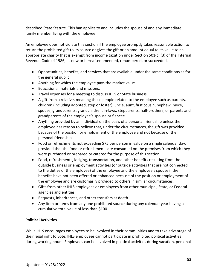described State Statute. This ban applies to and includes the spouse of and any immediate family member living with the employee.

An employee does not violate this section if the employee promptly takes reasonable action to return the prohibited gift to its source or gives the gift or an amount equal to its value to an appropriate charity that is exempt from income taxation under Section  $501(c)$  (3) of the Internal Revenue Code of 1986, as now or hereafter amended, renumbered, or succeeded.

- Opportunities, benefits, and services that are available under the same conditions as for the general public.
- Anything for which the employee pays the market value.
- Educational materials and missions.
- Travel expenses for a meeting to discuss IHLS or State business.
- A gift from a relative, meaning those people related to the employee such as parents, children (including adopted, step or foster), uncle, aunt, first cousin, nephew, niece, spouse, grandparents, grandchildren, in-laws, stepparents, half-brothers, or parents and grandparents of the employee's spouse or fiancée.
- Anything provided by an individual on the basis of a personal friendship unless the employee has reason to believe that, under the circumstances, the gift was provided because of the position or employment of the employee and not because of the personal friendship.
- Food or refreshments not exceeding \$75 per person in value on a single calendar day, provided that the food or refreshments are consumed on the premises from which they were purchased or prepared or catered for the purpose of this section.
- Food, refreshments, lodging, transportation, and other benefits resulting from the outside business or employment activities (or outside activities that are not connected to the duties of the employee) of the employee and the employee's spouse if the benefits have not been offered or enhanced because of the position or employment of the employee and are customarily provided to others in similar circumstances.
- Gifts from other IHLS employees or employees from other municipal, State, or Federal agencies and entities.
- Bequests, inheritances, and other transfers at death.
- Any item or items from any one prohibited source during any calendar year having a cumulative total value of less than \$100.

# <span id="page-53-0"></span>**Political Activities**

While IHLS encourages employees to be involved in their communities and to take advantage of their legal right to vote, IHLS employees cannot participate in prohibited political activities during working hours. Employees can be involved in political activities during vacation, personal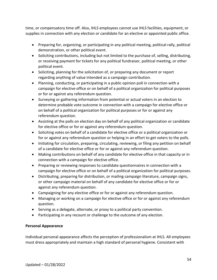time, or compensatory time off. Also, IHLS employees cannot use IHLS facilities, equipment, or supplies in connection with any election or candidate for an elective or appointed public office.

- Preparing for, organizing, or participating in any political meeting, political rally, political demonstration, or other political event.
- Soliciting contributions, including but not limited to the purchase of, selling, distributing, or receiving payment for tickets for any political fundraiser, political meeting, or other political event.
- Soliciting, planning for the solicitation of, or preparing any document or report regarding anything of value intended as a campaign contribution.
- Planning, conducting, or participating in a public opinion poll in connection with a campaign for elective office or on behalf of a political organization for political purposes or for or against any referendum question.
- Surveying or gathering information from potential or actual voters in an election to determine probable vote outcome in connection with a campaign for elective office or on behalf of a political organization for political purposes or for or against any referendum question.
- Assisting at the polls on election day on behalf of any political organization or candidate for elective office or for or against any referendum question.
- Soliciting votes on behalf of a candidate for elective office or a political organization or for or against any referendum question or helping in an effort to get voters to the polls.
- Initiating for circulation, preparing, circulating, reviewing, or filing any petition on behalf of a candidate for elective office or for or against any referendum question.
- Making contributions on behalf of any candidate for elective office in that capacity or in connection with a campaign for elective office.
- Preparing or reviewing responses to candidate questionnaires in connection with a campaign for elective office or on behalf of a political organization for political purposes.
- Distributing, preparing for distribution, or mailing campaign literature, campaign signs, or other campaign material on behalf of any candidate for elective office or for or against any referendum question.
- Campaigning for any elective office or for or against any referendum question.
- Managing or working on a campaign for elective office or for or against any referendum question.
- Serving as a delegate, alternate, or proxy to a political party convention.
- Participating in any recount or challenge to the outcome of any election.

# <span id="page-54-0"></span>**Personal Appearance**

Individual personal appearance affects the perception of professionalism at IHLS. All employees must dress appropriately and maintain a high standard of personal hygiene. Consistent with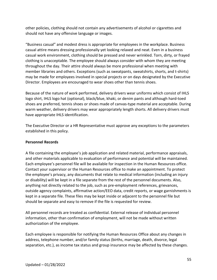other policies, clothing should not contain any advertisements of alcohol or cigarettes and should not have any offensive language or images.

"Business casual" and modest dress is appropriate for employees in the workplace. Business casual attire means dressing professionally yet looking relaxed and neat. Even in a business casual work environment, clothing should be pressed and never wrinkled. Torn, dirty, or frayed clothing is unacceptable. The employee should always consider with whom they are meeting throughout the day. Their attire should always be more professional when meeting with member libraries and others. Exceptions (such as sweatpants, sweatshirts, shorts, and t-shirts) may be made for employees involved in special projects or on days designated by the Executive Director. Employees are encouraged to wear shoes other than tennis shoes.

Because of the nature of work performed, delivery drivers wear uniforms which consist of IHLS logo shirt, IHLS logo hat (optional), black/blue, khaki, or denim pants and although hard-toed shoes are preferred, tennis shoes or shoes made of canvas-type material are acceptable. During warm weather, delivery drivers may wear appropriately length shorts. All delivery drivers must have appropriate IHLS identification.

The Executive Director or a HR Representative must approve any exceptions to the parameters established in this policy.

# <span id="page-55-0"></span>**Personnel Records**

A file containing the employee's job application and related material, performance appraisals, and other materials applicable to evaluation of performance and potential will be maintained. Each employee's personnel file will be available for inspection in the Human Resources office. Contact your supervisor or the Human Resources office to make an appointment. To protect the employee's privacy, any documents that relate to medical information (including an injury or disability) will be kept in a file separate from the rest of the personnel documents. Also, anything not directly related to the job, such as pre-employment references, grievances, outside agency complaints, affirmative action/EEO data, credit reports, or wage garnishments is kept in a separate file. These files may be kept inside or adjacent to the personnel file but should be separate and easy to remove if the file is requested for review.

All personnel records are treated as confidential. External release of individual personnel information, other than confirmation of employment, will not be made without written authorization of the employee.

Each employee is responsible for notifying the Human Resources Office about any changes in address, telephone number, and/or family status (births, marriage, death, divorce, legal separation, etc.), as income tax status and group insurance may be affected by these changes.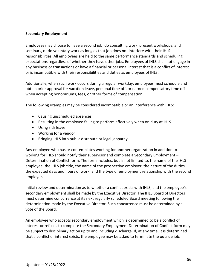# <span id="page-56-0"></span>**Secondary Employment**

Employees may choose to have a second job, do consulting work, present workshops, and seminars, or do voluntary work as long as that job does not interfere with their IHLS responsibilities. All employees are held to the same performance standards and scheduling expectations regardless of whether they have other jobs. Employees of IHLS shall not engage in any business or transactions or have a financial or personal interest that is a conflict of interest or is incompatible with their responsibilities and duties as employees of IHLS.

Additionally, when such work occurs during a regular workday, employees must schedule and obtain prior approval for vacation leave, personal time off, or earned compensatory time off when accepting honorariums, fees, or other forms of compensation.

The following examples may be considered incompatible or an interference with IHLS:

- Causing unscheduled absences
- Resulting in the employee failing to perform effectively when on duty at IHLS
- Using sick leave
- Working for a vendor
- Bringing IHLS into public disrepute or legal jeopardy

Any employee who has or contemplates working for another organization in addition to working for IHLS should notify their supervisor and complete a Secondary Employment – Determination of Conflict form. The form includes, but is not limited to, the name of the IHLS employee, the IHLS job title, the name of the prospective employer, the nature of the duties, the expected days and hours of work, and the type of employment relationship with the second employer.

Initial review and determination as to whether a conflict exists with IHLS, and the employee's secondary employment shall be made by the Executive Director. The IHLS Board of Directors must determine concurrence at its next regularly scheduled Board meeting following the determination made by the Executive Director. Such concurrence must be determined by a vote of the Board.

An employee who accepts secondary employment which is determined to be a conflict of interest or refuses to complete the Secondary Employment Determination of Conflict form may be subject to disciplinary action up to and including discharge. If, at any time, it is determined that a conflict of interest exists, the employee may be asked to terminate the outside job.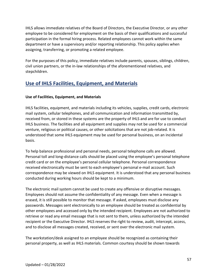IHLS allows immediate relatives of the Board of Directors, the Executive Director, or any other employee to be considered for employment on the basis of their qualifications and successful participation in the formal hiring process. Related employees cannot work within the same department or have a supervisory and/or reporting relationship. This policy applies when assigning, transferring, or promoting a related employee.

For the purposes of this policy, immediate relatives include parents, spouses, siblings, children, civil union partners, or the in-law relationships of the aforementioned relatives, and stepchildren.

# <span id="page-57-0"></span>**Use of IHLS Facilities, Equipment, and Materials**

# <span id="page-57-1"></span>**Use of Facilities, Equipment, and Materials**

IHLS facilities, equipment, and materials including its vehicles, supplies, credit cards, electronic mail system, cellular telephones, and all communication and information transmitted by, received from, or stored in these systems are the property of IHLS and are for use to conduct IHLS business. The facilities and all equipment and supplies may not be used for a commercial venture, religious or political causes, or other solicitations that are not job-related. It is understood that some IHLS equipment may be used for personal business, on an incidental basis.

To help balance professional and personal needs, personal telephone calls are allowed. Personal toll and long-distance calls should be placed using the employee's personal telephone credit card or on the employee's personal cellular telephone. Personal correspondence received electronically must be sent to each employee's personal e-mail account. Such correspondence may be viewed on IHLS equipment. It is understood that any personal business conducted during working hours should be kept to a minimum.

The electronic mail system cannot be used to create any offensive or disruptive messages. Employees should not assume the confidentiality of any message. Even when a message is erased, it is still possible to monitor that message. If asked, employees must disclose any passwords. Messages sent electronically to an employee should be treated as confidential by other employees and accessed only by the intended recipient. Employees are not authorized to retrieve or read any email message that is not sent to them, unless authorized by the intended recipient or the Executive Director. IHLS reserves the right to review, audit, intercept, access, and to disclose all messages created, received, or sent over the electronic mail system.

The workstation/desk assigned to an employee should be recognized as containing their personal property, as well as IHLS materials. Common courtesy should be shown towards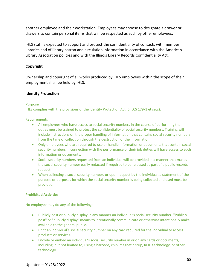another employee and their workstation. Employees may choose to designate a drawer or drawers to contain personal items that will be respected as such by other employees.

IHLS staff is expected to support and protect the confidentiality of contacts with member libraries and of library patron and circulation information in accordance with the American Library Association policies and with the Illinois Library Records Confidentiality Act.

# <span id="page-58-0"></span>**Copyright**

Ownership and copyright of all works produced by IHLS employees within the scope of their employment shall be held by IHLS.

# <span id="page-58-1"></span>**Identity Protection**

## **Purpose**

IHLS complies with the provisions of the Identity Protection Act (5 ILCS 179/1 et seq.).

**Requirements** 

- All employees who have access to social security numbers in the course of performing their duties must be trained to protect the confidentiality of social security numbers. Training will include instructions on the proper handling of information that contains social security numbers from the time of collection through the destruction of the information.
- Only employees who are required to use or handle information or documents that contain social security numbers in connection with the performance of their job duties will have access to such information or documents.
- Social security numbers requested from an individual will be provided in a manner that makes the social security number easily redacted if required to be released as part of a public records request.
- When collecting a social security number, or upon request by the individual, a statement of the purpose or purposes for which the social security number is being collected and used must be provided.

## **Prohibited Activities**

No employee may do any of the following:

- Publicly post or publicly display in any manner an individual's social security number. "Publicly post" or "publicly display" means to intentionally communicate or otherwise intentionally make available to the general public.
- Print an individual's social security number on any card required for the individual to access products or services.
- Encode or embed an individual's social security number in or on any cards or documents, including, but not limited to, using a barcode, chip, magnetic strip, RFID technology, or other technology.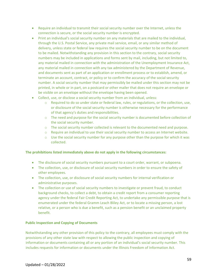- Require an individual to transmit their social security number over the Internet, unless the connection is secure, or the social security number is encrypted.
- Print an individual's social security number on any materials that are mailed to the individual, through the U.S. Postal Service, any private mail service, email, or any similar method of delivery, unless state or federal law requires the social security number to be on the document to be mailed. Notwithstanding any provision in this section to the contrary, social security numbers may be included in applications and forms sent by mail, including, but not limited to, any material mailed in connection with the administration of the Unemployment Insurance Act, any material mailed in connection with any tax administered by the Department of Revenue, and documents sent as part of an application or enrollment process or to establish, amend, or terminate an account, contract, or policy or to confirm the accuracy of the social security number. A social security number that may permissibly be mailed under this section may not be printed, in whole or in part, on a postcard or other mailer that does not require an envelope or be visible on an envelope without the envelope having been opened.
- Collect, use, or disclose a social security number from an individual, unless:
	- $\circ$  Required to do so under state or federal law, rules, or regulations, or the collection, use, or disclosure of the social security number is otherwise necessary for the performance of that agency's duties and responsibilities.
	- $\circ$  The need and purpose for the social security number is documented before collection of the social security number.
	- $\circ$  The social security number collected is relevant to the documented need and purpose.
	- $\circ$  Require an individual to use their social security number to access an Internet website.
	- $\circ$  Use the social security number for any purpose other than the purpose for which it was collected.

#### **The prohibitions listed immediately above do not apply in the following circumstances:**

- The disclosure of social security numbers pursuant to a court order, warrant, or subpoena.
- The collection, use, or disclosure of social security numbers in order to ensure the safety of other employees.
- The collection, use, or disclosure of social security numbers for internal verification or administrative purposes.
- The collection or use of social security numbers to investigate or prevent fraud, to conduct background checks, to collect a debt, to obtain a credit report from a consumer reporting agency under the federal Fair Credit Reporting Act, to undertake any permissible purpose that is enumerated under the federal Gramm Leach Bliley Act, or to locate a missing person, a lost relative, or a person who is due a benefit, such as a pension benefit or an unclaimed property benefit.

#### **Public Inspection and Copying of Documents**

Notwithstanding any other provision of this policy to the contrary, all employees must comply with the provisions of any other state law with respect to allowing the public inspection and copying of information or documents containing all or any portion of an individual's social security number. This includes requests for information or documents under the Illinois Freedom of Information Act.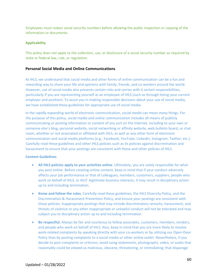Employees must redact social security numbers before allowing the public inspection or copying of the information or documents.

#### **Applicability**

This policy does not apply to the collection, use, or disclosure of a social security number as required by state or federal law, rule, or regulation.

#### <span id="page-60-0"></span>**Personal Social Media and Online Communications**

At IHLS, we understand that social media and other forms of online communication can be a fun and rewarding way to share your life and opinions with family, friends, and co-workers around the world. However, use of social media also presents certain risks and carries with it certain responsibilities, particularly if you are representing yourself as an employee of IHLS (such as through listing your current employer and position). To assist you in making responsible decisions about your use of social media, we have established these guidelines for appropriate use of social media.

In the rapidly expanding world of electronic communication, *social media* can mean many things. For the purpose of this policy, *social media and online communication* includes all means of publicly communicating or posting information or content of any sort on the Internet, including to your own or someone else's blog, personal website, social networking or affinity website, web bulletin board, or chat room, whether or not associated or affiliated with IHLS, as well as any other form of electronic communication and social media platforms (e.g., Facebook, YouTube, LinkedIn, Instagram, Twitter, etc.). Carefully read these guidelines and other IHLS policies such as its policies against discrimination and harassment to ensure that your postings are consistent with these and other policies of IHLS.

#### **Content Guidelines**

- **All IHLS policies apply to your activities online**. Ultimately, you are solely responsible for what you post online. Before creating online content, keep in mind that if your conduct adversely affects your job performance or that of colleagues, members, customers, suppliers, people who work on behalf of IHLS, or IHLS' legitimate business interests, it may result in disciplinary action up to and including termination.
- **Know and follow the rules.** Carefully read these guidelines, the IHLS Diversity Policy, and the Discrimination & Harassment Prevention Policy, and ensure your postings are consistent with these policies. Inappropriate postings that may include discriminatory remarks, harassment, and threats of violence or any other inappropriate or unlawful conduct will not be tolerated and may subject you to disciplinary action up to and including termination.
- **Be respectful.** Always be fair and courteous to fellow associates, customers, members, vendors, and people who work on behalf of IHLS. Also, keep in mind that you are more likely to resolve work-related complaints by speaking directly with your co-workers or by utilizing our Open-Door Policy than by posting complaints to a social media or other online outlet. Nevertheless, if you decide to post complaints or criticism, avoid using statements, photographs, video, or audio that reasonably could be viewed as malicious, obscene, threatening, or intimidating; that disparage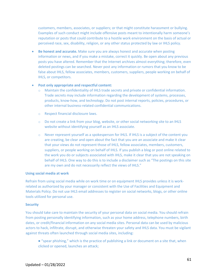customers, members, associates, or suppliers; or that might constitute harassment or bullying. Examples of such conduct might include offensive posts meant to intentionally harm someone's reputation or posts that could contribute to a hostile work environment on the basis of actual or perceived race, sex, disability, religion, or any other status protected by law or IHLS policy.

• **Be honest and accurate.** Make sure you are always honest and accurate when posting information or news, and if you make a mistake, correct it quickly. Be open about any previous posts you have altered. Remember that the Internet archives almost everything; therefore, even deleted postings can be searched. Never post any information or rumors that you know to be false about IHLS, fellow associates, members, customers, suppliers, people working on behalf of IHLS, or competitors.

#### • **Post only appropriate and respectful content:**

- o Maintain the confidentiality of IHLS trade secrets and private or confidential information. Trade secrets may include information regarding the development of systems, processes, products, know-how, and technology. Do not post internal reports, policies, procedures, or other internal business-related confidential communications.
- o Respect financial disclosure laws.
- o Do not create a link from your blog, website, or other social networking site to an IHLS website without identifying yourself as an IHLS associate.
- o Never represent yourself as a spokesperson for IHLS. If IHLS is a subject of the content you are creating, be clear and open about the fact that you are an associate and make it clear that your views do not represent those of IHLS, fellow associates, members, customers, suppliers, or people working on behalf of IHLS. If you publish a blog or post online related to the work you do or subjects associated with IHLS, make it clear that you are not speaking on behalf of IHLS. One way to do this is to include a disclaimer such as "The postings on this site are my own and do not necessarily reflect the views of IHLS."

#### **Using social media at work**

Refrain from using social media while on work time or on equipment IHLS provides unless it is workrelated as authorized by your manager or consistent with the Use of Facilities and Equipment and Materials Policy. Do not use IHLS email addresses to register on social networks, blogs, or other online tools utilized for personal use.

#### **Security**

You should take care to maintain the security of your personal data on social media. You should refrain from posting personally identifying information, such as your home address, telephone numbers, birth dates, or credit/financial information on any social media sites. Personal data can be used by malicious actors to hack, infiltrate, disrupt, and otherwise threaten your safety and IHLS data. You must be vigilant against threats often launched through social media sites, including:

● "spear phishing," which is the practice of publishing a link or document on a site that, when clicked or opened, launches an attack;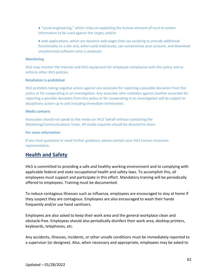● "social engineering," which relies on exploiting the human element of trust to collect information to be used against the target; and/or

● web applications, which are dynamic web pages that use scripting to provide additional functionality to a site and, when used maliciously, can compromise your account, and download unauthorized software onto a computer.

#### **Monitoring**

IHLS may monitor the Internet and IHLS equipment for employee compliance with this policy and to enforce other IHLS policies.

#### **Retaliation is prohibited**

IHLS prohibits taking negative action against any associate for reporting a possible deviation from this policy or for cooperating in an investigation. Any associate who retaliates against another associate for reporting a possible deviation from this policy or for cooperating in an investigation will be subject to disciplinary action up to and including immediate termination.

#### **Media contacts**

Associates should not speak to the media on IHLS' behalf without contacting the Marketing/Communications Team. All media inquiries should be directed to them.

#### **For more information**

If you have questions or need further guidance, please contact your IHLS human resources representative.

# <span id="page-62-0"></span>**Health and Safety**

IHLS is committed to providing a safe and healthy working environment and to complying with applicable federal and state occupational health and safety laws. To accomplish this, all employees must support and participate in this effort. Mandatory training will be periodically offered to employees. Training must be documented.

To reduce contagious illnesses such as influenza, employees are encouraged to stay at home if they suspect they are contagious. Employees are also encouraged to wash their hands frequently and/or use hand sanitizers.

Employees are also asked to keep their work area and the general workplace clean and obstacle-free. Employees should also periodically disinfect their work area, desktop printers, keyboards, telephones, etc.

Any accidents, illnesses, incidents, or other unsafe conditions must be immediately reported to a supervisor (or designee). Also, when necessary and appropriate, employees may be asked to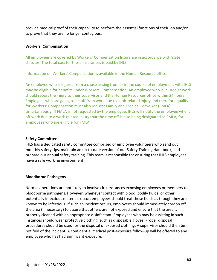provide medical proof of their capability to perform the essential functions of their job and/or to prove that they are no longer contagious.

# <span id="page-63-0"></span>**Workers' Compensation**

All employees are covered by Workers' Compensation Insurance in accordance with State statutes. The total cost for these insurances is paid by IHLS.

Information on Workers' Compensation is available in the Human Resource office.

An employee who is injured from a cause arising from or in the course of employment with IHLS may be eligible for benefits under Workers' Compensation. An employee who is injured at work should report the injury to their supervisor and the Human Resources office within 24 hours. Employees who are going to be off from work due to a job-related injury and therefore qualify for Workers' Compensation must also request Family and Medical Leave Act (FMLA) simultaneously. If FMLA is not requested by the employee, IHLS will notify the employee who is off work due to a work-related injury that the time off is also being designated as FMLA, for employees who are eligible for FMLA.

# <span id="page-63-1"></span>**Safety Committee**

IHLS has a dedicated safety committee comprised of employee volunteers who send out monthly safety tips, maintain an up-to-date version of our Safety Training Handbook, and prepare our annual safety training. This team is responsible for ensuring that IHLS employees have a safe working environment.

## <span id="page-63-2"></span>**Bloodborne Pathogens**

Normal operations are not likely to involve circumstances exposing employees or members to bloodborne pathogens. However, whenever contact with blood, bodily fluids, or other potentially infectious materials occur, employees should treat these fluids as though they are known to be infectious. If such an incident occurs, employees should immediately cordon off the area (if necessary) to assure that others are not exposed and ensure that the area is properly cleaned with an appropriate disinfectant. Employees who may be assisting in such instances should wear protective clothing, such as disposable gloves. Proper disposal procedures should be used for the disposal of exposed clothing. A supervisor should then be notified of the incident. A confidential medical post-exposure follow-up will be offered to any employee who has had significant exposure.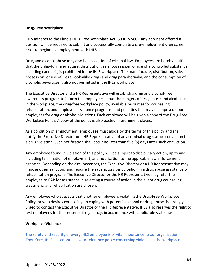## <span id="page-64-0"></span>**Drug-Free Workplace**

IHLS adheres to the Illinois Drug Free Workplace Act (30 ILCS 580). Any applicant offered a position will be required to submit and successfully complete a pre-employment drug screen prior to beginning employment with IHLS.

Drug and alcohol abuse may also be a violation of criminal law. Employees are hereby notified that the unlawful manufacture, distribution, sale, possession, or use of a controlled substance, including cannabis, is prohibited in the IHLS workplace. The manufacture, distribution, sale, possession, or use of illegal look-alike drugs and drug paraphernalia, and the consumption of alcoholic beverages is also not permitted in the IHLS workplace.

The Executive Director and a HR Representative will establish a drug and alcohol-free awareness program to inform the employees about the dangers of drug abuse and alcohol use in the workplace, the drug-free workplace policy, available resources for counseling, rehabilitation, and employee assistance programs, and penalties that may be imposed upon employees for drug or alcohol violations. Each employee will be given a copy of the Drug-Free Workplace Policy. A copy of the policy is also posted in prominent places.

As a condition of employment, employees must abide by the terms of this policy and shall notify the Executive Director or a HR Representative of any criminal drug statute conviction for a drug violation. Such notification shall occur no later than five (5) days after such conviction.

Any employee found in violation of this policy will be subject to disciplinary action, up to and including termination of employment, and notification to the applicable law enforcement agencies. Depending on the circumstances, the Executive Director or a HR Representative may impose other sanctions and require the satisfactory participation in a drug abuse assistance or rehabilitation program. The Executive Director or the HR Representative may refer the employee to EAP for assistance in selecting a course of action in the event drug counseling, treatment, and rehabilitation are chosen.

Any employee who suspects that another employee is violating the Drug-Free Workplace Policy, or who desires counseling on coping with potential alcohol or drug abuse, is strongly urged to contact the Executive Director or the HR Representative. IHLS also reserves the right to test employees for the presence illegal drugs in accordance with applicable state law.

## <span id="page-64-1"></span>**Workplace Violence**

The safety and security of every IHLS employee is of vital importance to our organization. Therefore, IHLS has adopted a zero-tolerance policy concerning violence in the workplace.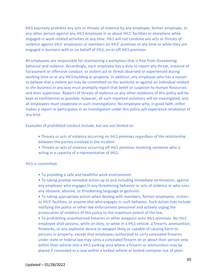IHLS expressly prohibits any acts or threats of violence by any employee, former employee, or any other person against any IHLS employee in or about IHLS' facilities or elsewhere while engaged in work-related activities at any time. IHLS will not condone any acts or threats of violence against IHLS' employees or members on IHLS' premises at any time or while they are engaged in business with or on behalf of IHLS, on or off IHLS premises.

All employees are responsible for maintaining a workplace that is free from threatening behavior and violence. Accordingly, each employee has a duty to report any threat, instance of harassment or offensive conduct, or violent act or threat observed or experienced during working time or at any IHLS building or property. In addition, any employee who has a reason to believe that a violent act may be committed on the worksite or against an individual related to the business in any way must promptly report that belief or suspicion to Human Resources and their supervisor. Reports of threats of violence or any other violations of this policy will be kept as confidential as possible; however, all such reported violations will be investigated, and all employees must cooperate in such investigations. No employee who, in good faith, either makes a report or participates in an investigation under this policy will experience retaliation of any kind.

Examples of prohibited conduct include, but are not limited to:

- Threats or acts of violence occurring on IHLS premises regardless of the relationship between the parties involved in the incident.
- Threats or acts of violence occurring off IHLS premises involving someone who is acting in a capacity of a representative of IHLS.

#### IHLS is committed:

• To providing a safe and healthful work environment.

• To taking prompt remedial action up to and including immediate termination, against any employee who engages in any threatening behavior or acts of violence or who uses any obscene, abusive, or threatening language or gestures.

• To taking appropriate action when dealing with members, former employees, visitors to IHLS' facilities, or anyone else who engages in such behavior. Such action may include notifying the police or other law enforcement personnel and actively urging the prosecution of violators of this policy to the maximum extent of the law.

• To prohibiting unauthorized firearms or other weapons onto IHLS premises. No IHLS employee shall possess, while on duty, or while in a IHLS vehicle, a firearm, ammunition, fireworks, or any explosive device or weapon likely or capable of causing harm to persons or property, except that employees authorized to carry concealed firearms under state or federal law may carry a concealed firearm on or about their person only within their vehicle into a IHLS parking area where a firearm or ammunition may be placed if concealed in a case within a locked vehicle or locked container out of plain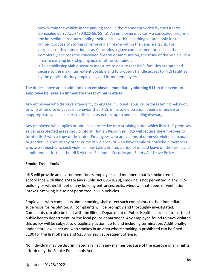view within the vehicle in the parking area, in the manner provided by the Firearm Concealed Carry Act, (430 ILCS 66/65)(b). An employee may carry a concealed firearm in the immediate area surrounding their vehicle within a parking lot area only for the limited purpose of storing or retrieving a firearm within the vehicle's trunk. For purposes of this subsection, "case" includes a glove compartment or console that completely encloses the concealed firearm or ammunition, the trunk of the vehicle, or a firearm carrying box, shipping box, or other container.

• To establishing viable security measures to ensure that IHLS' facilities are safe and secure to the maximum extent possible and to properly handle access to IHLS facilities by the public, off-duty employees, and former employees.

# The duties above are in addition to an **employee immediately phoning 911 in the event an employee believes an immediate threat of harm exists.**

Any employee who displays a tendency to engage in violent, abusive, or threatening behavior, or who otherwise engages in behavior that IHLS, in its sole discretion, deems offensive or inappropriate will be subject to disciplinary action, up to and including discharge.

Any employee who applies or obtains a protective or restraining order which lists IHLS premises as being protected areas should inform Human Resources. IHLS will require the employee to furnish IHLS with a copy of the order. Employees who are victims of domestic violence, sexual or gender violence or any other crime of violence, or who have family or household members who are subjected to such violence may take a limited period of unpaid leave on the terms and conditions set forth in the IHLS Victims' Economic Security and Safety Act Leave Policy

## <span id="page-66-0"></span>**Smoke-Free Illinois**

IHLS will provide an environment for its employees and members that is smoke free. In accordance with Illinois State law (Public Act 095-1029), smoking is not permitted in any IHLS building or within 15 feet of any building entrances, exits, windows that open, or ventilation intakes. Smoking is also not permitted in IHLS vehicles.

Employees with complaints about smoking shall direct such complaints to their immediate supervisor for resolution. All complaints will be promptly and thoroughly investigated. Complaints can also be filed with the Illinois Department of Public Health, a local state-certified public health department, or the local police department. Any employee found to have violated this policy will be subject to disciplinary action, up to and including termination. Additionally, under state law, a person who smokes in an area where smoking is prohibited can be fined \$100 for the first offense and \$250 for each subsequent offense.

No individual may be discriminated against in any manner because of the exercise of any rights afforded by the Smoke Free Illinois Act.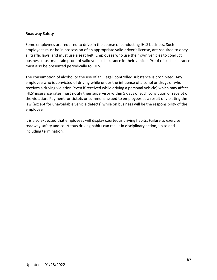## <span id="page-67-0"></span>**Roadway Safety**

Some employees are required to drive in the course of conducting IHLS business. Such employees must be in possession of an appropriate valid driver's license, are required to obey all traffic laws, and must use a seat belt. Employees who use their own vehicles to conduct business must maintain proof of valid vehicle insurance in their vehicle. Proof of such insurance must also be presented periodically to IHLS.

The consumption of alcohol or the use of an illegal, controlled substance is prohibited. Any employee who is convicted of driving while under the influence of alcohol or drugs or who receives a driving violation (even if received while driving a personal vehicle) which may affect IHLS' insurance rates must notify their supervisor within 5 days of such conviction or receipt of the violation. Payment for tickets or summons issued to employees as a result of violating the law (except for unavoidable vehicle defects) while on business will be the responsibility of the employee.

It is also expected that employees will display courteous driving habits. Failure to exercise roadway safety and courteous driving habits can result in disciplinary action, up to and including termination.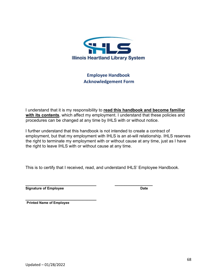

# **Employee Handbook Acknowledgement Form**

<span id="page-68-0"></span>I understand that it is my responsibility to **read this handbook and become familiar with its contents**, which affect my employment. I understand that these policies and procedures can be changed at any time by IHLS with or without notice.

I further understand that this handbook is not intended to create a contract of employment, but that my employment with IHLS is an at-will relationship. IHLS reserves the right to terminate my employment with or without cause at any time, just as I have the right to leave IHLS with or without cause at any time.

This is to certify that I received, read, and understand IHLS' Employee Handbook.

 **\_\_\_\_\_\_\_\_\_\_\_\_\_\_\_\_ Signature of Employee** Date

*\_\_\_\_\_\_\_\_\_\_\_\_\_\_\_\_\_\_\_\_\_\_\_\_\_\_\_\_\_\_* **Printed Name of Employee**